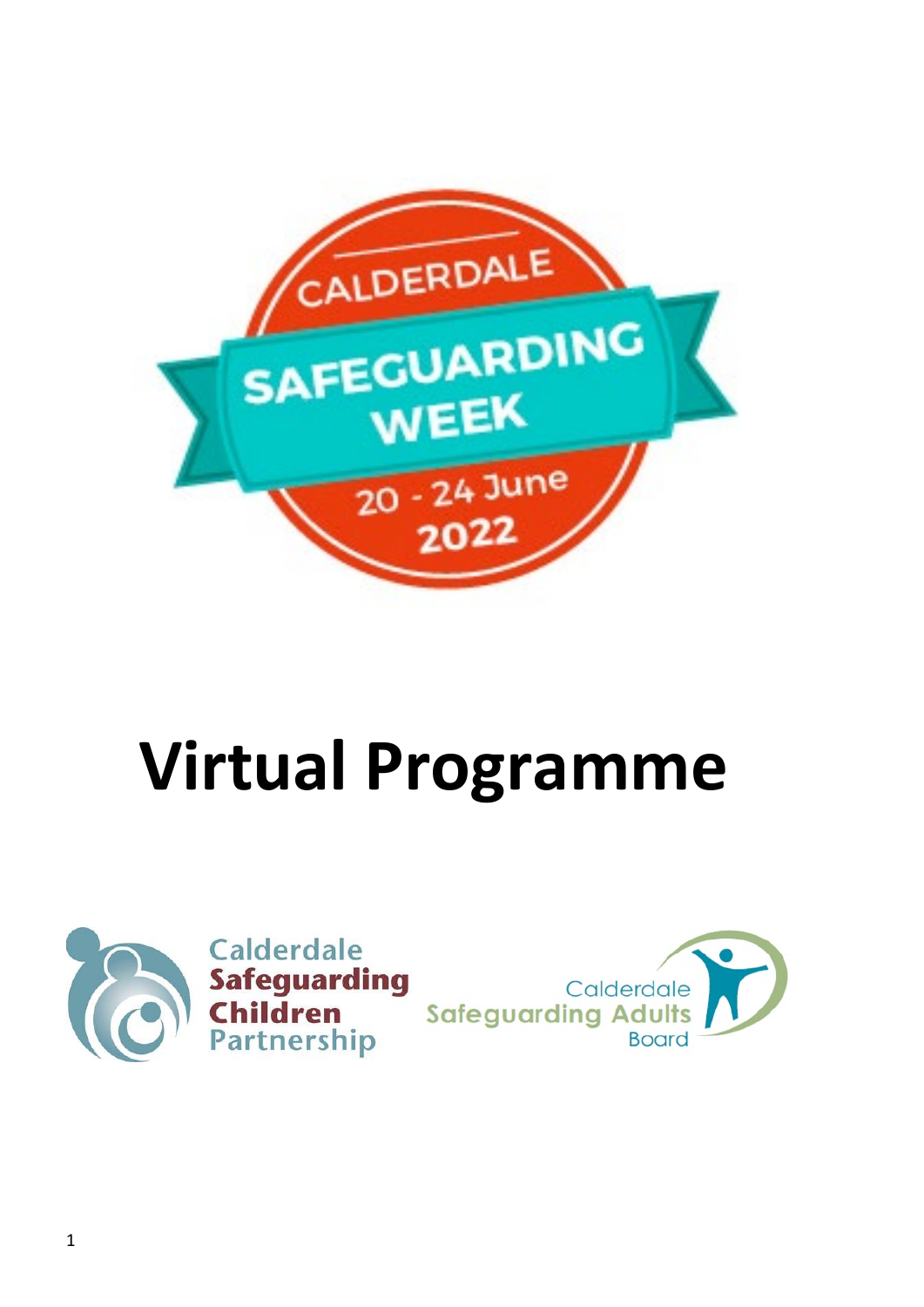

# **Virtual Programme**



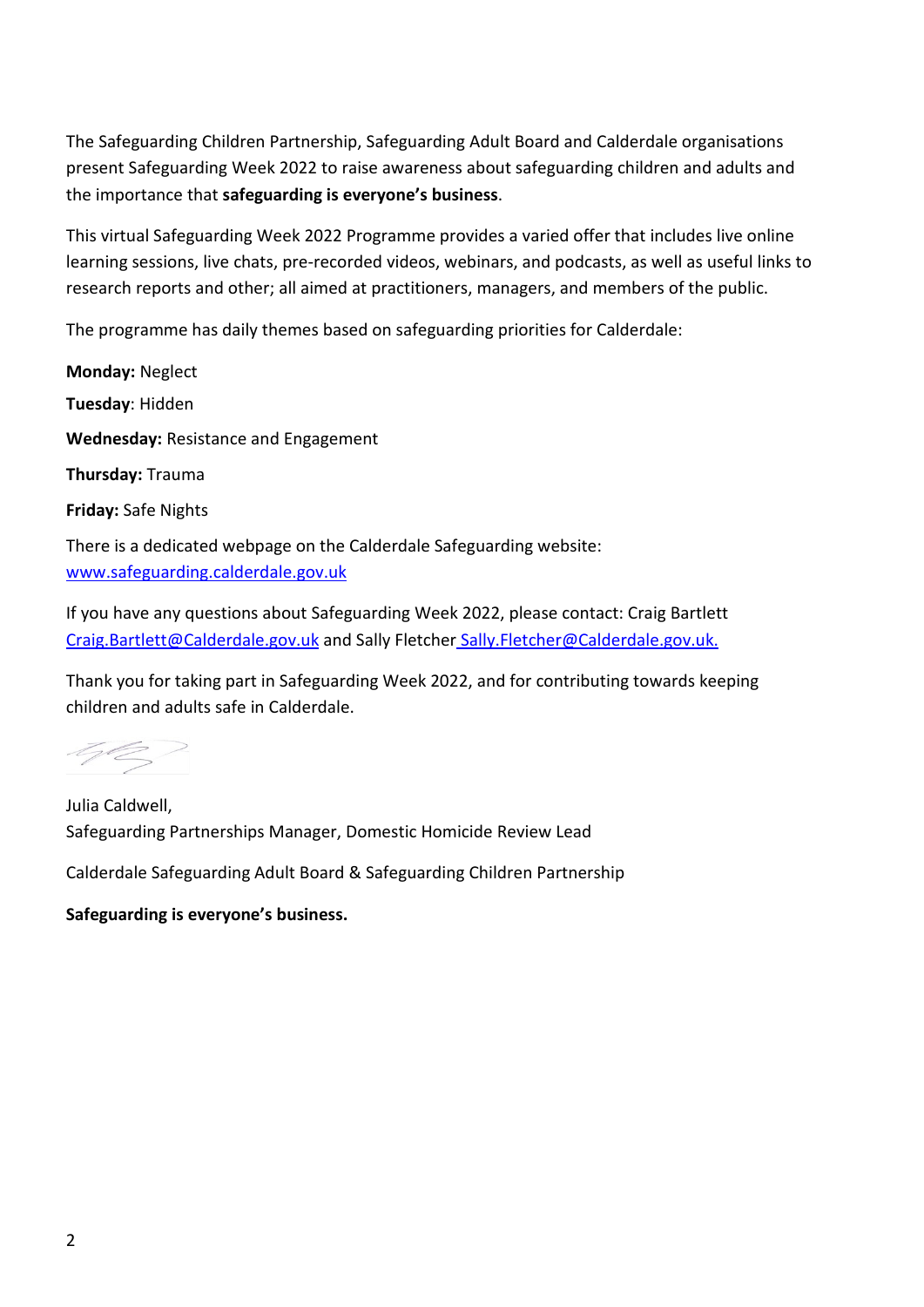The Safeguarding Children Partnership, Safeguarding Adult Board and Calderdale organisations present Safeguarding Week 2022 to raise awareness about safeguarding children and adults and the importance that **safeguarding is everyone's business**.

This virtual Safeguarding Week 2022 Programme provides a varied offer that includes live online learning sessions, live chats, pre-recorded videos, webinars, and podcasts, as well as useful links to research reports and other; all aimed at practitioners, managers, and members of the public.

The programme has daily themes based on safeguarding priorities for Calderdale:

**Monday:** Neglect **Tuesday**: Hidden **Wednesday:** Resistance and Engagement **Thursday:** Trauma **Friday:** Safe Nights There is a dedicated webpage on the Calderdale Safeguarding website: [www.safeguarding.calderdale.gov.uk](http://www.safeguarding.calderdale.gov.uk/)

If you have any questions about Safeguarding Week 2022, please contact: Craig Bartlett [Craig.Bartlett@Calderdale.gov.uk](mailto:Craig.Bartlett@Calderdale.gov.uk) and Sally Fletcher [Sally.Fletcher@Calderdale.gov.uk.](mailto:Sally.Fletcher@Calderdale.gov.uk)

Thank you for taking part in Safeguarding Week 2022, and for contributing towards keeping children and adults safe in Calderdale.

402

Julia Caldwell, Safeguarding Partnerships Manager, Domestic Homicide Review Lead

Calderdale Safeguarding Adult Board & Safeguarding Children Partnership

**Safeguarding is everyone's business.**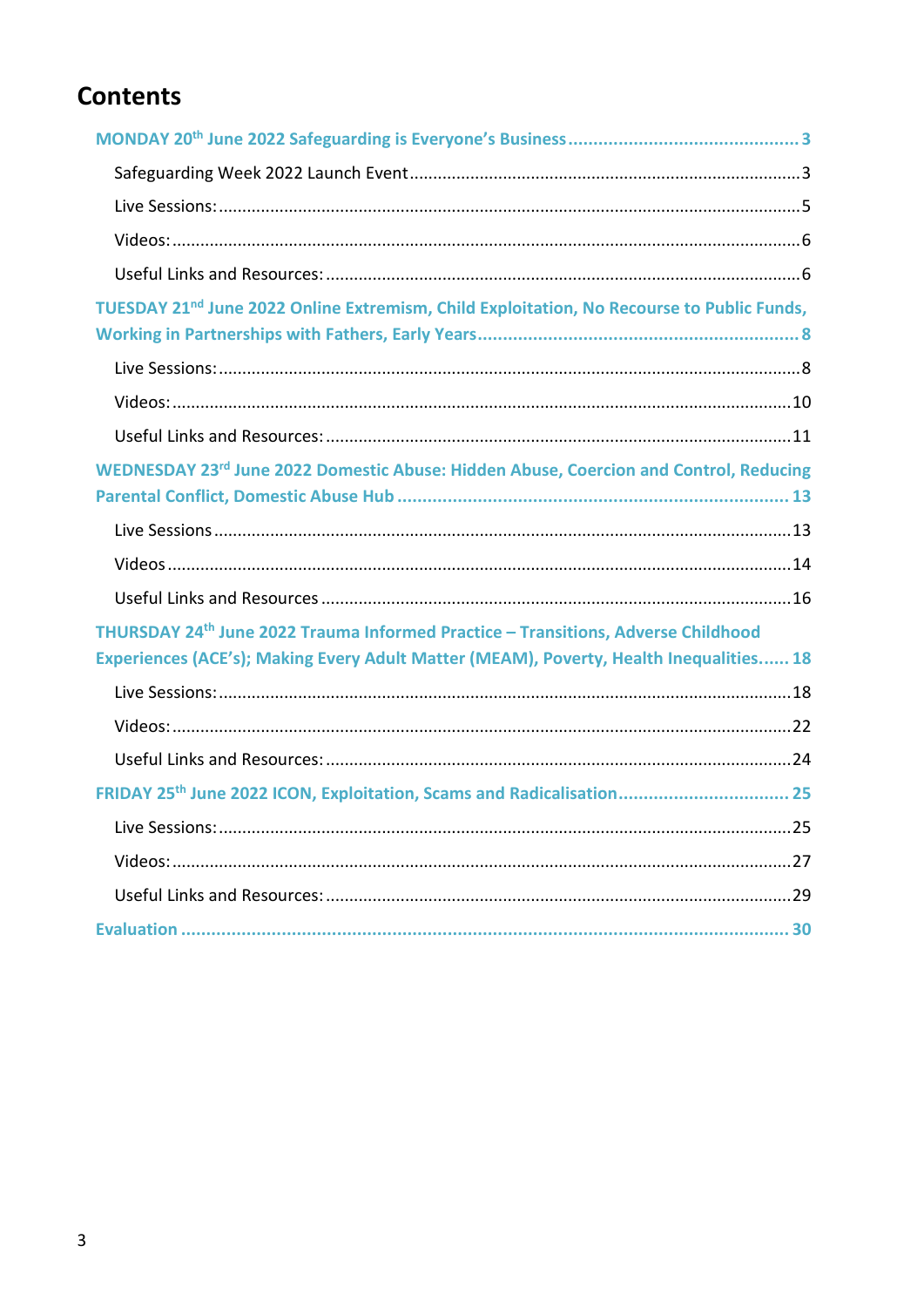# **Contents**

| TUESDAY 21 <sup>nd</sup> June 2022 Online Extremism, Child Exploitation, No Recourse to Public Funds,                                                                       |
|-----------------------------------------------------------------------------------------------------------------------------------------------------------------------------|
|                                                                                                                                                                             |
|                                                                                                                                                                             |
|                                                                                                                                                                             |
| WEDNESDAY 23rd June 2022 Domestic Abuse: Hidden Abuse, Coercion and Control, Reducing                                                                                       |
|                                                                                                                                                                             |
|                                                                                                                                                                             |
|                                                                                                                                                                             |
|                                                                                                                                                                             |
| THURSDAY 24th June 2022 Trauma Informed Practice - Transitions, Adverse Childhood<br>Experiences (ACE's); Making Every Adult Matter (MEAM), Poverty, Health Inequalities 18 |
|                                                                                                                                                                             |
|                                                                                                                                                                             |
|                                                                                                                                                                             |
| FRIDAY 25th June 2022 ICON, Exploitation, Scams and Radicalisation 25                                                                                                       |
|                                                                                                                                                                             |
|                                                                                                                                                                             |
|                                                                                                                                                                             |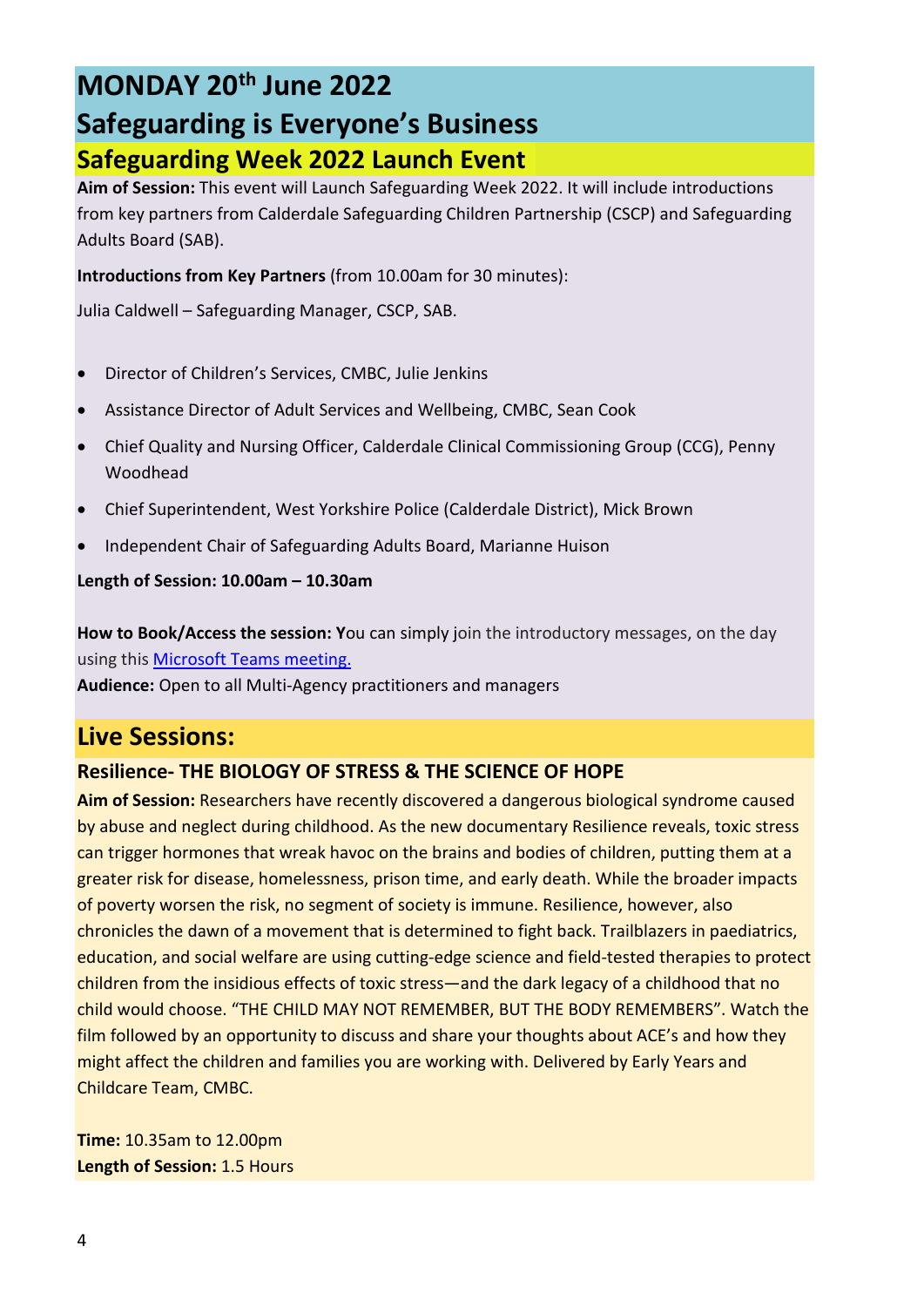# **MONDAY 20th June 2022**

# **Safeguarding is Everyone's Business Safeguarding Week 2022 Launch Event**

**Aim of Session:** This event will Launch Safeguarding Week 2022. It will include introductions from key partners from Calderdale Safeguarding Children Partnership (CSCP) and Safeguarding Adults Board (SAB).

**Introductions from Key Partners** (from 10.00am for 30 minutes):

Julia Caldwell – Safeguarding Manager, CSCP, SAB.

- Director of Children's Services, CMBC, Julie Jenkins
- Assistance Director of Adult Services and Wellbeing, CMBC, Sean Cook
- Chief Quality and Nursing Officer, Calderdale Clinical Commissioning Group (CCG), Penny Woodhead
- Chief Superintendent, West Yorkshire Police (Calderdale District), Mick Brown
- Independent Chair of Safeguarding Adults Board, Marianne Huison

**Length of Session: 10.00am – 10.30am**

**How to Book/Access the session: Y**ou can simply join the introductory messages, on the day using thi[s Microsoft Teams meeting.](https://teams.microsoft.com/l/meetup-join/19%3ameeting_MmZiMDFmNmItZTA0Yy00NzRkLTg3MDktMGNmNDJlNWZkODUw%40thread.v2/0?context=%7b%22Tid%22%3a%2207162ea2-1b0e-498f-bb55-5b41fd4dce4f%22%2c%22Oid%22%3a%22ba7831df-d391-4799-9c9e-dba504d688d8%22%7d)

**Audience:** Open to all Multi-Agency practitioners and managers

## **Live Sessions:**

#### **Resilience- THE BIOLOGY OF STRESS & THE SCIENCE OF HOPE**

**Aim of Session:** Researchers have recently discovered a dangerous biological syndrome caused by abuse and neglect during childhood. As the new documentary Resilience reveals, toxic stress can trigger hormones that wreak havoc on the brains and bodies of children, putting them at a greater risk for disease, homelessness, prison time, and early death. While the broader impacts of poverty worsen the risk, no segment of society is immune. Resilience, however, also chronicles the dawn of a movement that is determined to fight back. Trailblazers in paediatrics, education, and social welfare are using cutting-edge science and field-tested therapies to protect children from the insidious effects of toxic stress—and the dark legacy of a childhood that no child would choose. "THE CHILD MAY NOT REMEMBER, BUT THE BODY REMEMBERS". Watch the film followed by an opportunity to discuss and share your thoughts about ACE's and how they might affect the children and families you are working with. Delivered by Early Years and Childcare Team, CMBC.

**Time:** 10.35am to 12.00pm **Length of Session:** 1.5 Hours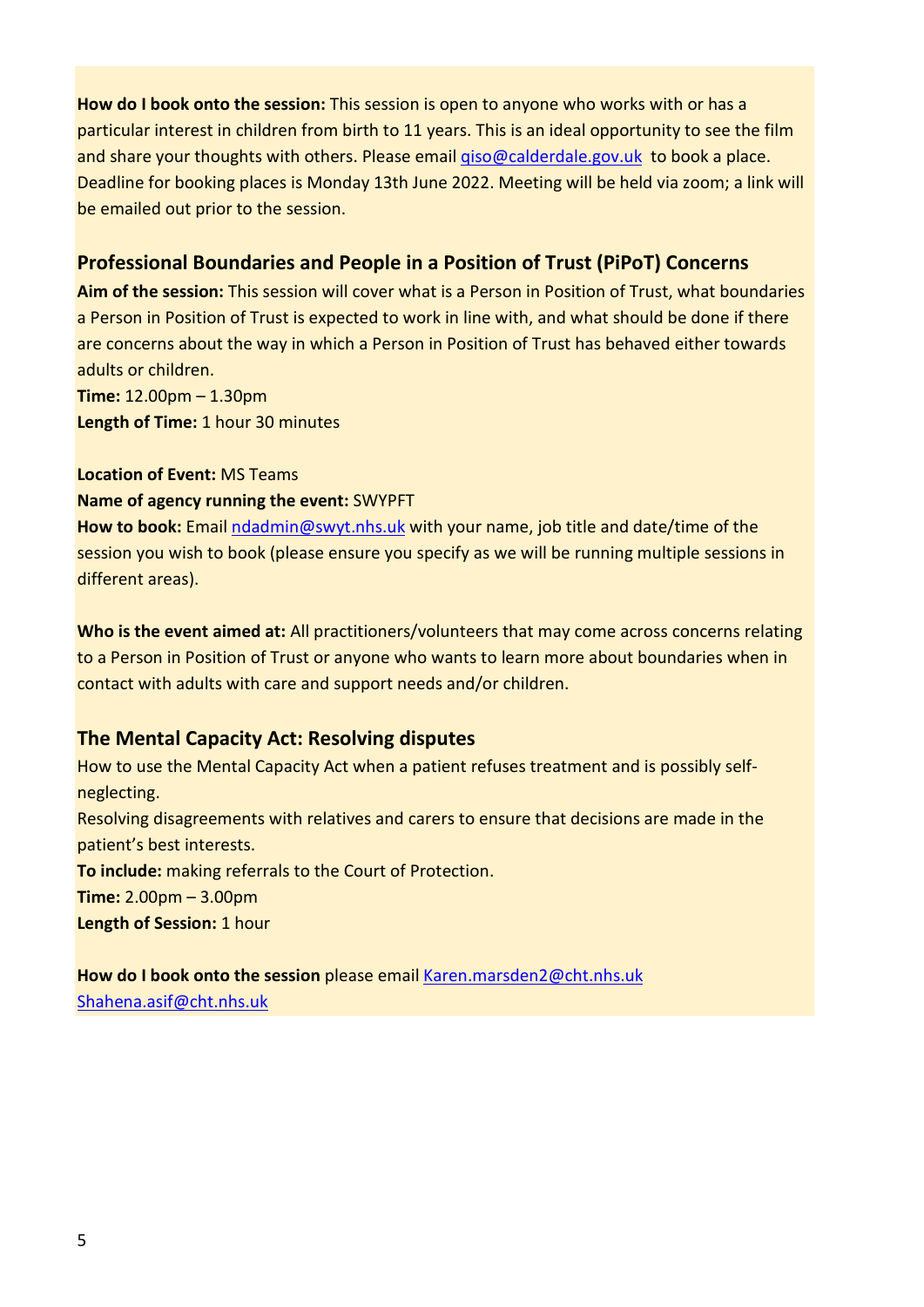**How do I book onto the session:** This session is open to anyone who works with or has a particular interest in children from birth to 11 years. This is an ideal opportunity to see the film and share your thoughts with others. Please email [qiso@calderdale.gov.uk](mailto:qiso@calderdale.gov.uk) to book a place. Deadline for booking places is Monday 13th June 2022. Meeting will be held via zoom; a link will be emailed out prior to the session.

#### **Professional Boundaries and People in a Position of Trust (PiPoT) Concerns**

**Aim of the session:** This session will cover what is a Person in Position of Trust, what boundaries a Person in Position of Trust is expected to work in line with, and what should be done if there are concerns about the way in which a Person in Position of Trust has behaved either towards adults or children.

**Time:** 12.00pm – 1.30pm **Length of Time:** 1 hour 30 minutes

**Location of Event:** MS Teams

#### **Name of agency running the event:** SWYPFT

**How to book:** Email [ndadmin@swyt.nhs.uk](mailto:ndadmin@swyt.nhs.uk) with your name, job title and date/time of the session you wish to book (please ensure you specify as we will be running multiple sessions in different areas).

**Who is the event aimed at:** All practitioners/volunteers that may come across concerns relating to a Person in Position of Trust or anyone who wants to learn more about boundaries when in contact with adults with care and support needs and/or children.

#### **The Mental Capacity Act: Resolving disputes**

How to use the Mental Capacity Act when a patient refuses treatment and is possibly selfneglecting. Resolving disagreements with relatives and carers to ensure that decisions are made in the patient's best interests. **To include:** making referrals to the Court of Protection. **Time:** 2.00pm – 3.00pm **Length of Session:** 1 hour

**How do I book onto the session** please email [Karen.marsden2@cht.nhs.uk](mailto:Karen.marsden2@cht.nhs.uk) [Shahena.asif@cht.nhs.uk](mailto:Shahena.asif@cht.nhs.uk)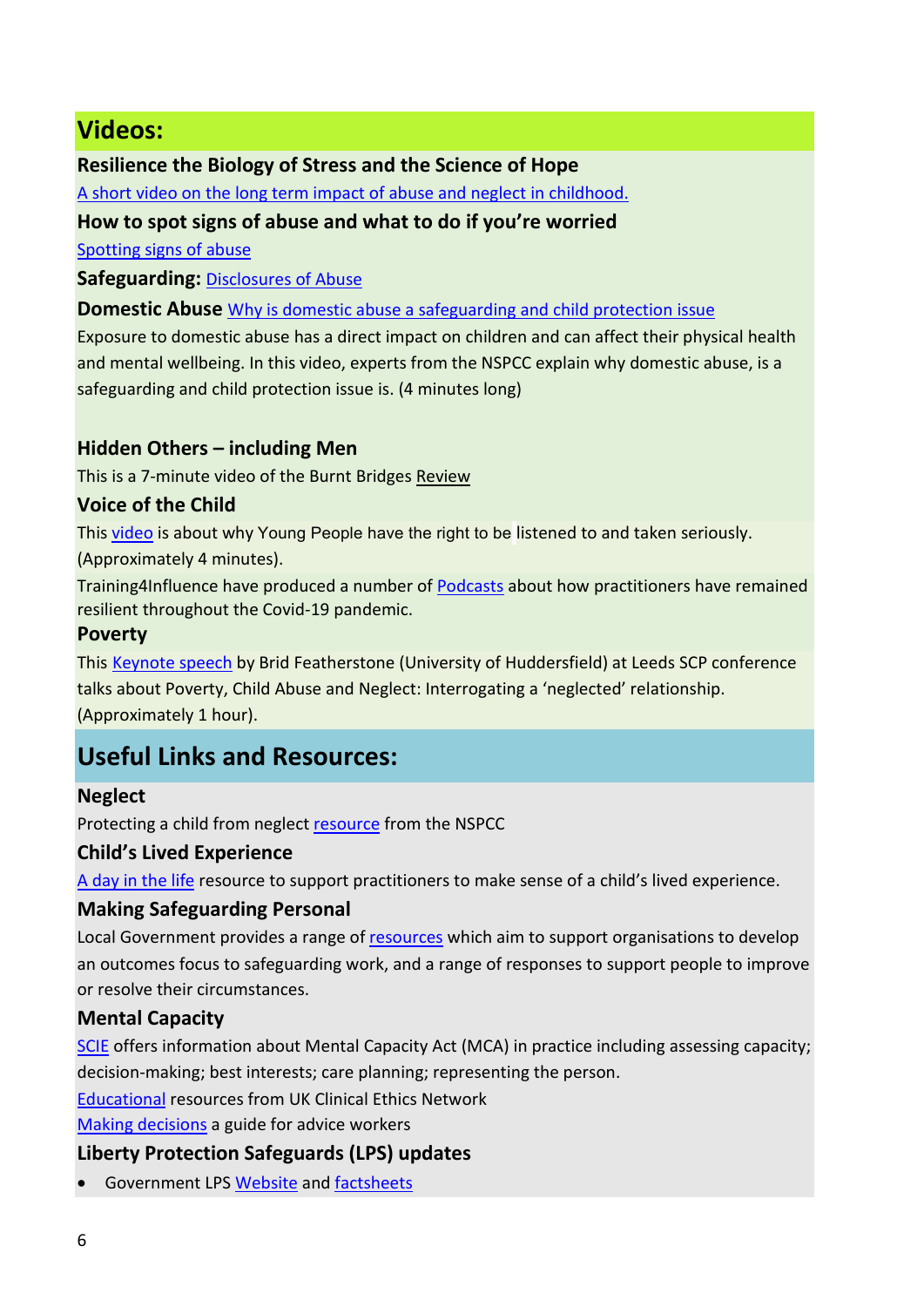# **Videos:**

#### **Resilience the Biology of Stress and the Science of Hope**

[A short video on the long term impact of abuse and neglect in childhood.](https://www.youtube.com/watch?v=49YZ2rn5R2M)

#### **How to spot signs of abuse and what to do if you're worried**

[Spotting signs of abuse](https://www.youtube.com/watch?v=OUZT7cUoCv8)

**Safeguarding:**[Disclosures of Abuse](https://www.youtube.com/watch?v=a0WAMExLq70)

**Domestic Abuse** [Why is domestic abuse a safeguarding and child protection issue](https://www.youtube.com/watch?v=ARyk-39dKz0)

Exposure to domestic abuse has a direct impact on children and can affect their physical health and mental wellbeing. In this video, experts from the NSPCC explain why domestic abuse, is a safeguarding and child protection issue is. (4 minutes long)

#### **Hidden Others – including Men**

This is a 7-minute video of the Burnt Bridges [Review](https://www.youtube.com/watch?v=b0al5zlDYis)

#### **Voice of the Child**

This [video](https://www.youtube.com/watch?v=x14_2chx3lE) is about why Young People have the right to be listened to and taken seriously.

(Approximately 4 minutes).

Training4Influence have produced a number of [Podcasts](https://training4influence.co.uk/podcast/series-3/) about how practitioners have remained resilient throughout the Covid-19 pandemic.

#### **Poverty**

This [Keynote speech](https://youtu.be/QLNNDS9xebo) by Brid Featherstone (University of Huddersfield) at Leeds SCP conference talks about Poverty, Child Abuse and Neglect: Interrogating a 'neglected' relationship. (Approximately 1 hour).

# **Useful Links and Resources:**

#### **Neglect**

Protecting a child from neglect [resource](https://learning.nspcc.org.uk/child-abuse-and-neglect/neglect) from the NSPCC

#### **Child's Lived Experience**

[A day in the life](https://safeguarding.calderdale.gov.uk/wp-content/uploads/2021/11/a-day-in-the-life-child-and-adult.pdf) resource to support practitioners to make sense of a child's lived experience.

#### **Making Safeguarding Personal**

Local Government provides a range of [resources](https://www.local.gov.uk/our-support/our-improvement-offer/care-and-health-improvement/making-safeguarding-personal) which aim to support organisations to develop an outcomes focus to safeguarding work, and a range of responses to support people to improve or resolve their circumstances.

#### **Mental Capacity**

[SCIE](https://www.scie.org.uk/mca/practice) offers information about Mental Capacity Act (MCA) in practice including assessing capacity; decision-making; best interests; care planning; representing the person.

[Educational](http://www.ukcen.net/education_resources/mental_capacity/resolving_disagreements_and_disputes) resources from UK Clinical Ethics Network

[Making decisions](https://www.gov.uk/government/publications/advice-workers-mental-capacity-act-decisions/making-decisions-a-guide-for-advice-workers) a guide for advice workers

#### **Liberty Protection Safeguards (LPS) updates**

• Government LPS [Website](https://www.gov.uk/government/collections/mental-capacity-amendment-act-2019-liberty-protection-safeguards-lps) an[d factsheets](https://www.gov.uk/government/publications/liberty-protection-safeguards-factsheets)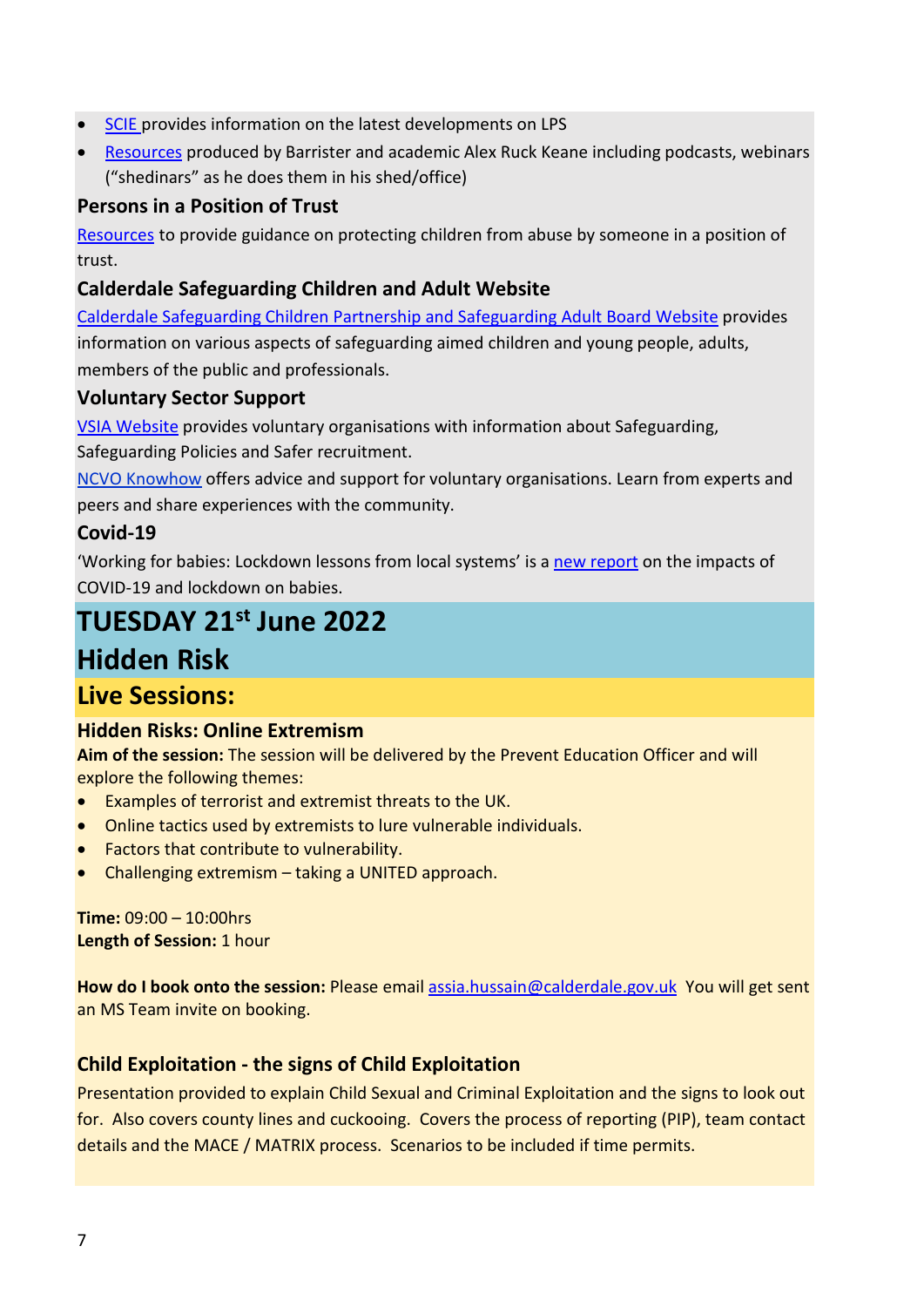- [SCIE](https://www.scie.org.uk/mca/dols/practice/lps?utm_sfid=003G000002ft0HPIAY&utm_role=Policy%2Fpublic%20affairs&dm_i=4O5,6AC2P,OIC2ZR,OT8PB,1) provides information on the latest developments on LPS
- [Resources](https://www.mentalcapacitylawandpolicy.org.uk/resources-2/liberty-protection-safeguards-resources/) produced by Barrister and academic Alex Ruck Keane including podcasts, webinars ("shedinars" as he does them in his shed/office)

#### **Persons in a Position of Trust**

[Resources](https://learning.nspcc.org.uk/research-resources/briefings/preventing-abuse-positions-of-trust) to provide guidance on protecting children from abuse by someone in a position of trust.

#### **Calderdale Safeguarding Children and Adult Website**

[Calderdale Safeguarding Children Partnership and Safeguarding Adult Board Website](https://safeguarding.calderdale.gov.uk/) provides information on various aspects of safeguarding aimed children and young people, adults, members of the public and professionals.

#### **Voluntary Sector Support**

[VSIA Website](https://www.vsialliance.org.uk/Safeguarding) provides voluntary organisations with information about Safeguarding,

Safeguarding Policies and Safer recruitment.

[NCVO Knowhow](https://knowhow.ncvo.org.uk/safeguarding) offers advice and support for voluntary organisations. Learn from experts and peers and share experiences with the community.

#### **Covid-19**

'Working for babies: Lockdown lessons from local systems' is a [new report](https://ncmd.us3.list-manage.com/track/click?u=e561b2f80953e7c9e5d18b2d0&id=0dab1eb448&e=9b1f4d615b) on the impacts of COVID-19 and lockdown on babies.

# **TUESDAY 21st June 2022**

# **Hidden Risk**

## **Live Sessions:**

#### **Hidden Risks: Online Extremism**

**Aim of the session:** The session will be delivered by the Prevent Education Officer and will explore the following themes:

- Examples of terrorist and extremist threats to the UK.
- Online tactics used by extremists to lure vulnerable individuals.
- Factors that contribute to vulnerability.
- Challenging extremism taking a UNITED approach.

**Time:** 09:00 – 10:00hrs **Length of Session:** 1 hour

**How do I book onto the session:** Please email [assia.hussain@calderdale.gov.uk](mailto:assia.hussain@calderdale.gov.uk) You will get sent an MS Team invite on booking.

#### **Child Exploitation - the signs of Child Exploitation**

Presentation provided to explain Child Sexual and Criminal Exploitation and the signs to look out for. Also covers county lines and cuckooing. Covers the process of reporting (PIP), team contact details and the MACE / MATRIX process. Scenarios to be included if time permits.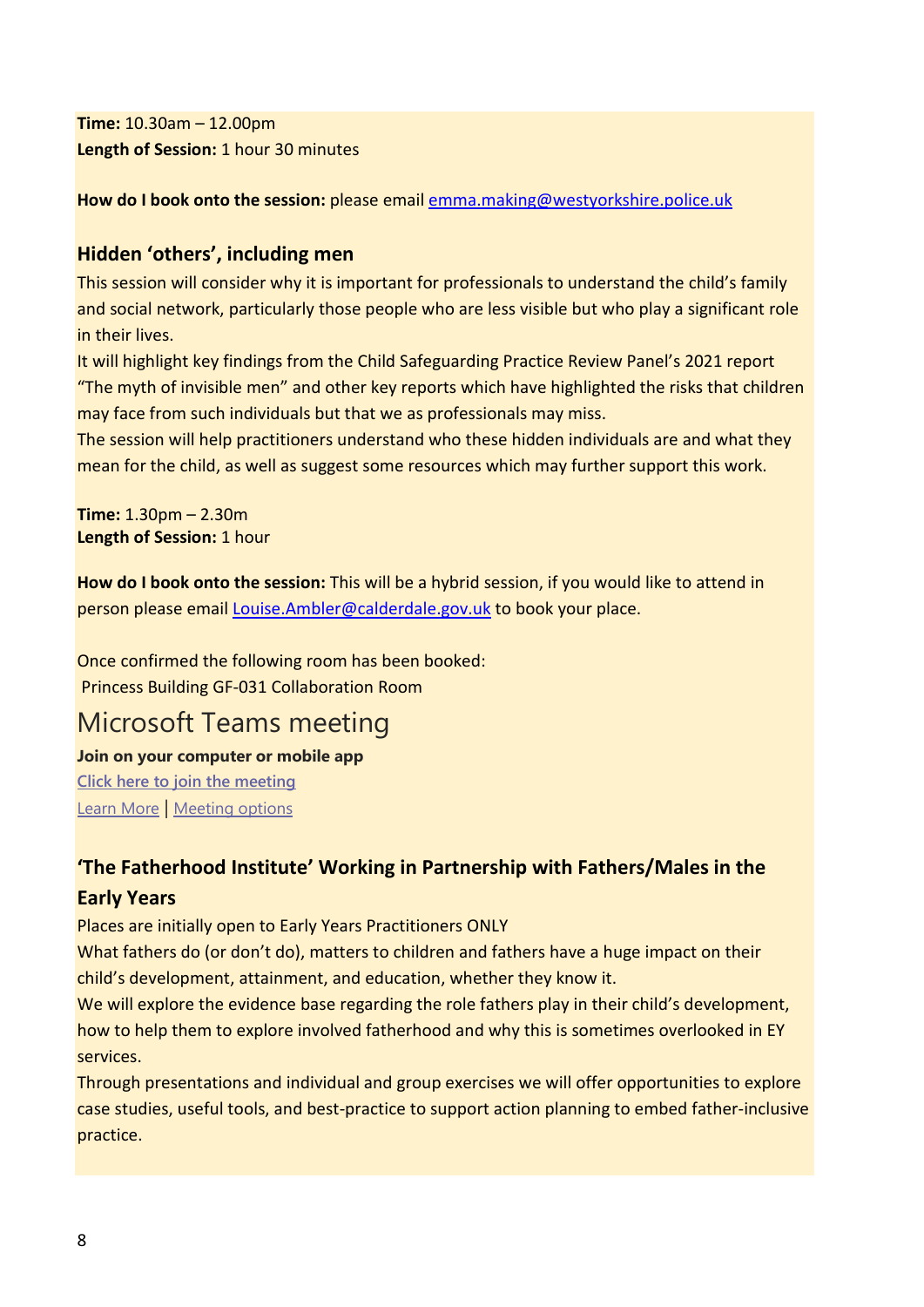**Time:** 10.30am – 12.00pm **Length of Session:** 1 hour 30 minutes

**How do I book onto the session:** please email [emma.making@westyorkshire.police.uk](mailto:emma.making@westyorkshire.police.uk) 

#### **Hidden 'others', including men**

This session will consider why it is important for professionals to understand the child's family and social network, particularly those people who are less visible but who play a significant role in their lives.

It will highlight key findings from the Child Safeguarding Practice Review Panel's 2021 report "The myth of invisible men" and other key reports which have highlighted the risks that children may face from such individuals but that we as professionals may miss.

The session will help practitioners understand who these hidden individuals are and what they mean for the child, as well as suggest some resources which may further support this work.

**Time:** 1.30pm – 2.30m **Length of Session:** 1 hour

**How do I book onto the session:** This will be a hybrid session, if you would like to attend in person please email [Louise.Ambler@calderdale.gov.uk](mailto:Louise%20Ambler%20%3CLouise.Ambler@calderdale.gov.uk%3E) to book your place.

Once confirmed the following room has been booked: Princess Building GF-031 Collaboration Room

# Microsoft Teams meeting

**Join on your computer or mobile app [Click here to join the meeting](https://teams.microsoft.com/l/meetup-join/19%3ameeting_ZDg5ZTc2NTItNDkzMy00MGQxLTk2ZjAtZWZhNzlmMWRlZGZl%40thread.v2/0?context=%7b%22Tid%22%3a%2207162ea2-1b0e-498f-bb55-5b41fd4dce4f%22%2c%22Oid%22%3a%229be3d5e0-82f8-48b4-8d16-6b098c9faf80%22%7d)** [Learn More](https://aka.ms/JoinTeamsMeeting) | [Meeting options](https://teams.microsoft.com/meetingOptions/?organizerId=9be3d5e0-82f8-48b4-8d16-6b098c9faf80&tenantId=07162ea2-1b0e-498f-bb55-5b41fd4dce4f&threadId=19_meeting_ZDg5ZTc2NTItNDkzMy00MGQxLTk2ZjAtZWZhNzlmMWRlZGZl@thread.v2&messageId=0&language=en-US)

### **'The Fatherhood Institute' Working in Partnership with Fathers/Males in the Early Years**

Places are initially open to Early Years Practitioners ONLY

What fathers do (or don't do), matters to children and fathers have a huge impact on their child's development, attainment, and education, whether they know it.

We will explore the evidence base regarding the role fathers play in their child's development, how to help them to explore involved fatherhood and why this is sometimes overlooked in EY services.

Through presentations and individual and group exercises we will offer opportunities to explore case studies, useful tools, and best-practice to support action planning to embed father-inclusive practice.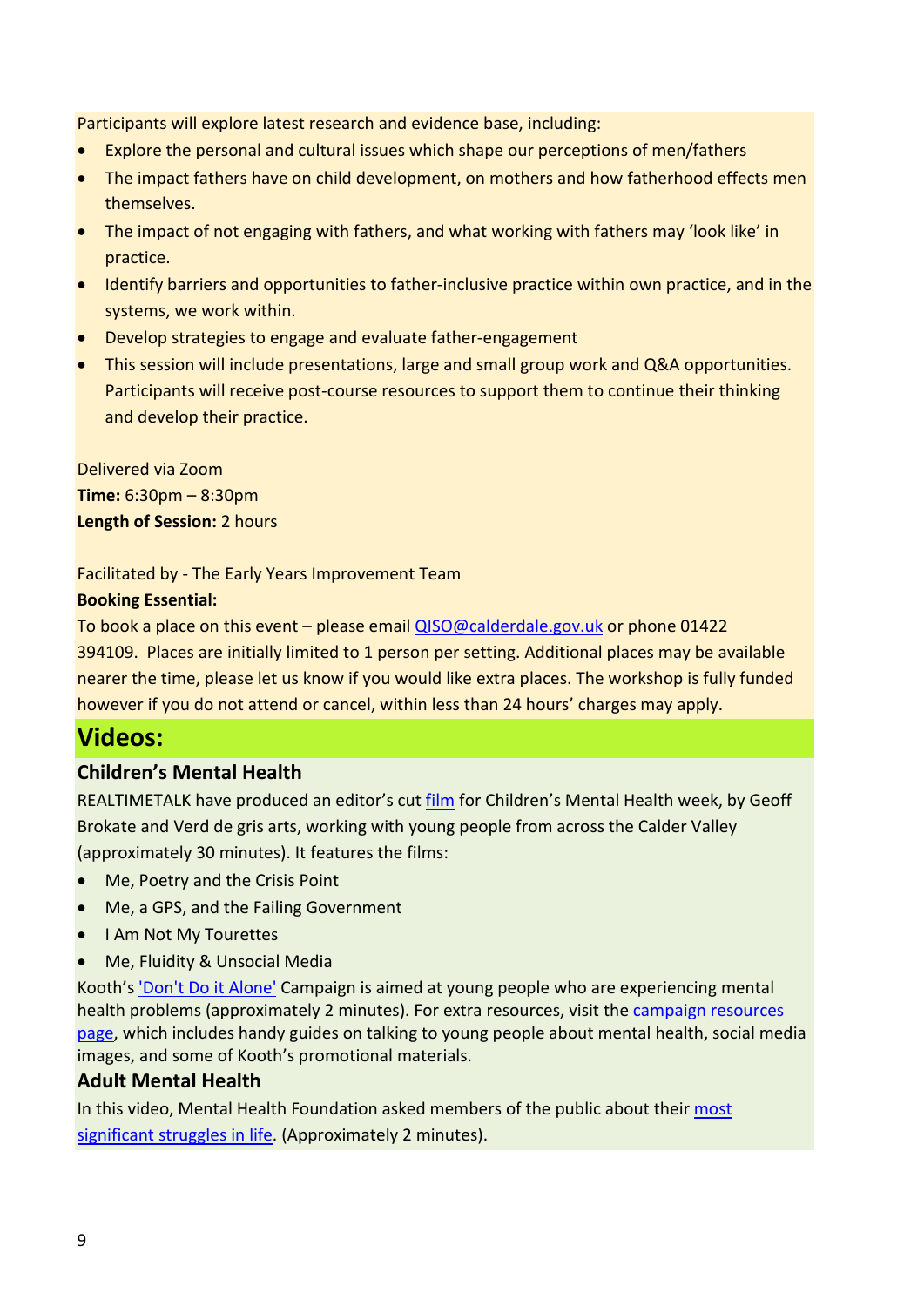Participants will explore latest research and evidence base, including:

- Explore the personal and cultural issues which shape our perceptions of men/fathers
- The impact fathers have on child development, on mothers and how fatherhood effects men themselves.
- The impact of not engaging with fathers, and what working with fathers may 'look like' in practice.
- Identify barriers and opportunities to father-inclusive practice within own practice, and in the systems, we work within.
- Develop strategies to engage and evaluate father-engagement
- This session will include presentations, large and small group work and Q&A opportunities. Participants will receive post-course resources to support them to continue their thinking and develop their practice.

Delivered via Zoom **Time:** 6:30pm – 8:30pm **Length of Session:** 2 hours

#### Facilitated by - The Early Years Improvement Team

#### **Booking Essential:**

To book a place on this event – please email [QISO@calderdale.gov.uk](mailto:QISO@calderdale.gov.uk) or phone 01422 394109. Places are initially limited to 1 person per setting. Additional places may be available nearer the time, please let us know if you would like extra places. The workshop is fully funded however if you do not attend or cancel, within less than 24 hours' charges may apply.

# **Videos:**

#### **Children's Mental Health**

REALTIMETALK have produced an editor's cut [film](https://vimeo.com/519476774) for Children's Mental Health week, by Geoff Brokate and Verd de gris arts, working with young people from across the Calder Valley (approximately 30 minutes). It features the films:

- Me, Poetry and the Crisis Point
- Me, a GPS, and the Failing Government
- I Am Not My Tourettes
- Me, Fluidity & Unsocial Media

Kooth's ['Don't Do it Alone'](https://vimeo.com/505725535) Campaign is aimed at young people who are experiencing mental health problems (approximately 2 minutes). For extra resources, visit the [campaign resources](https://explore.kooth.com/dontdoitalone/)  [page,](https://explore.kooth.com/dontdoitalone/) which includes handy guides on talking to young people about mental health, social media images, and some of Kooth's promotional materials.

#### **Adult Mental Health**

In this video, Mental Health Foundation asked members of the public about their [most](https://www.mentalhealth.org.uk/podcasts-and-videos/i-survive)  [significant struggles in life.](https://www.mentalhealth.org.uk/podcasts-and-videos/i-survive) (Approximately 2 minutes).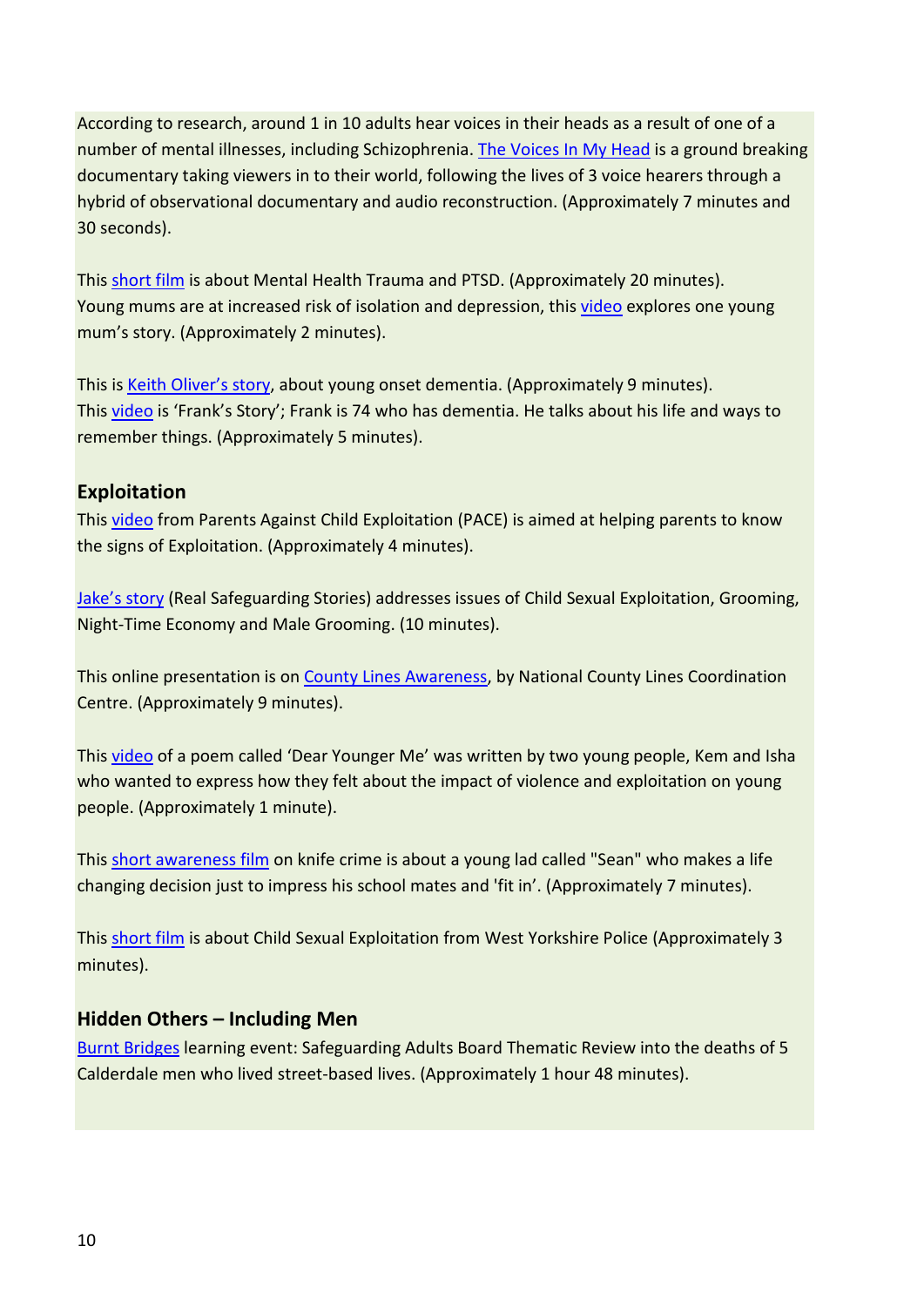According to research, around 1 in 10 adults hear voices in their heads as a result of one of a number of mental illnesses, including Schizophrenia. [The Voices In My Head](https://www.youtube.com/watch?v=4K9vp99imjs) is a ground breaking documentary taking viewers in to their world, following the lives of 3 voice hearers through a hybrid of observational documentary and audio reconstruction. (Approximately 7 minutes and 30 seconds).

This [short film](https://youtu.be/4TyzV0H1XcI) is about Mental Health Trauma and PTSD. (Approximately 20 minutes). Young mums are at increased risk of isolation and depression, this [video](https://www.mentalhealth.org.uk/podcasts-and-videos/rachels-story-being-young-mum) explores one young mum's story. (Approximately 2 minutes).

This is [Keith Oliver's story,](https://youtu.be/CPulwcrkcxA) about young onset dementia. (Approximately 9 minutes). This [video](https://www.mentalhealth.org.uk/podcasts-and-videos/franks-story) is 'Frank's Story'; Frank is 74 who has dementia. He talks about his life and ways to remember things. (Approximately 5 minutes).

#### **Exploitation**

This [video](https://paceuk.info/for-parents/film-knowing-the-signs/) from Parents Against Child Exploitation (PACE) is aimed at helping parents to know the signs of Exploitation. (Approximately 4 minutes).

[Jake's story](https://realsafeguardingstories.com/story/jakes-story-child-sexual-exploitation-and-grooming/) (Real Safeguarding Stories) addresses issues of Child Sexual Exploitation, Grooming, Night-Time Economy and Male Grooming. (10 minutes).

This online presentation is on [County Lines Awareness,](https://www.youtube.com/watch?v=DdYq2dhQ3qc) by National County Lines Coordination Centre. (Approximately 9 minutes).

This [video](https://www.youtube.com/watch?v=7PEmDgo0E2w&t=1s) of a poem called 'Dear Younger Me' was written by two young people, Kem and Isha who wanted to express how they felt about the impact of violence and exploitation on young people. (Approximately 1 minute).

This [short awareness film](https://www.youtube.com/watch?v=6w93L24A6Ws) on knife crime is about a young lad called "Sean" who makes a life changing decision just to impress his school mates and 'fit in'. (Approximately 7 minutes).

This [short film](https://www.westyorkshire.police.uk/advice/child-protection/child-sexual-exploitation-cse/child-sexual-exploitation-cse) is about Child Sexual Exploitation from West Yorkshire Police (Approximately 3 minutes).

#### **Hidden Others – Including Men**

[Burnt Bridges](https://youtu.be/Nl3RwKz4YTg) learning event: Safeguarding Adults Board Thematic Review into the deaths of 5 Calderdale men who lived street-based lives. (Approximately 1 hour 48 minutes).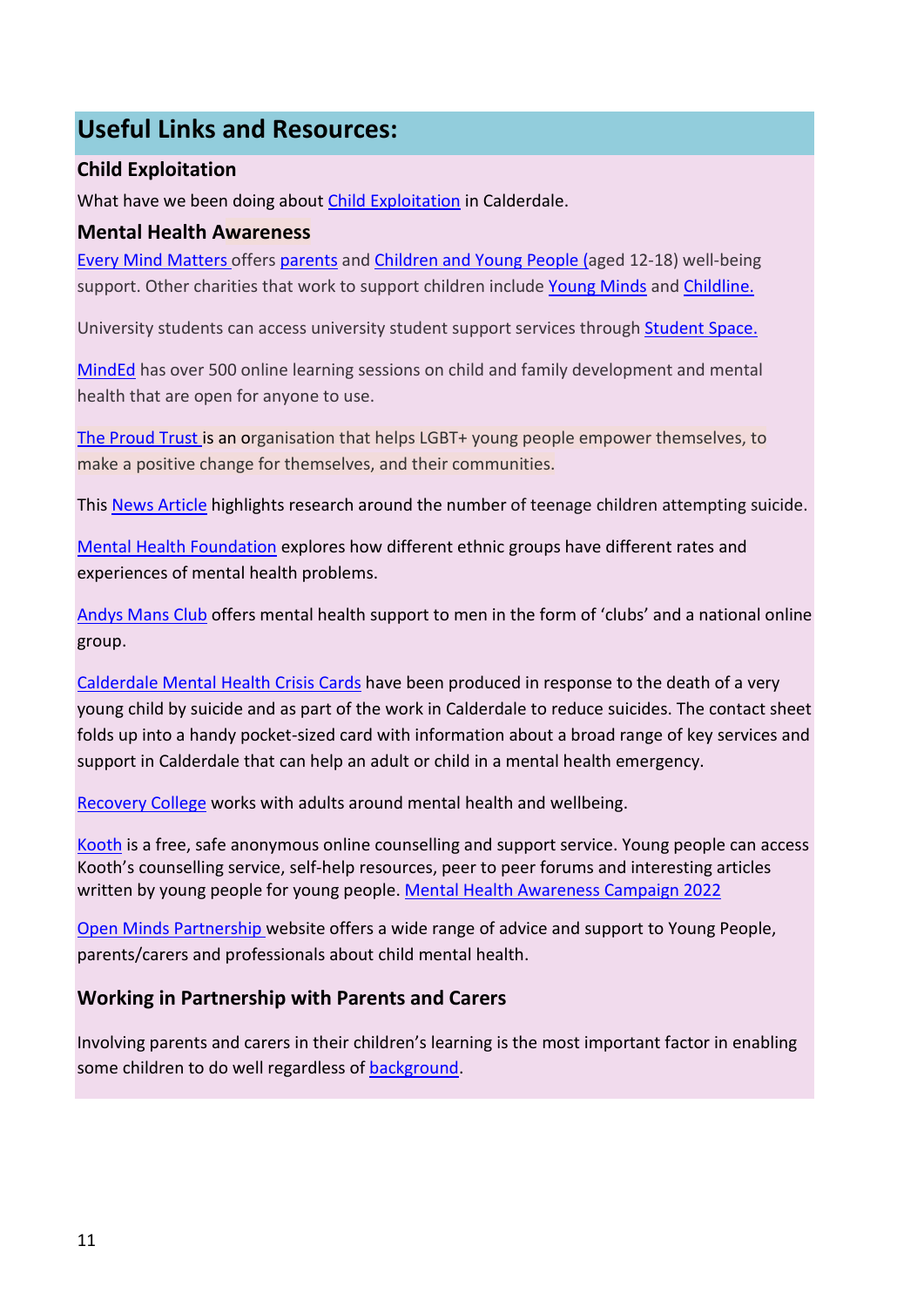# **Useful Links and Resources:**

#### **Child Exploitation**

What have we been doing about [Child Exploitation](https://safeguarding.calderdale.gov.uk/professionals/safeguarding-children/child-exploitation/) in Calderdale.

#### **Mental Health Awareness**

[Every Mind Matters](https://www.nhs.uk/oneyou/every-mind-matters/?WT.tsrc=Search&WT.mc_id=Brand&gclid=Cj0KCQjw7qn1BRDqARIsAKMbHDb3mrYCmM6oBOzJ2ixh9bJE8u99khOLzmsw_Rj0Rn4HmUjFzSzZpD8aAq2XEALw_wcB) offers [parents](https://www.nhs.uk/oneyou/every-mind-matters/childrens-mental-health/) and [Children and Young People](https://www.nhs.uk/oneyou/every-mind-matters/youth-mental-health/) (aged 12-18) well-being support. Other charities that work to support children include [Young Minds](https://youngminds.org.uk/) an[d Childline.](https://www.childline.org.uk/)

University students can access university student support services through [Student Space.](https://studentspace.org.uk/)

[MindEd](https://www.minded.org.uk/) has over 500 online learning sessions on child and family development and mental health that are open for anyone to use.

[The Proud Trust](https://www.theproudtrust.org/) is an organisation that helps LGBT+ young people empower themselves, to make a positive change for themselves, and their communities.

This [News Article](https://www.theguardian.com/society/2021/feb/21/uk-17-year-olds-mental-health-crisis?CMP=Share_iOSApp_Other&fbclid=IwAR3XTEwaIUaBrsuqHzcrONml7YdDBUqPJPhIRS8aYJ20zrCZETJIN1nFpJs) highlights research around the number of teenage children attempting suicide.

[Mental Health Foundation](https://www.mentalhealth.org.uk/a-to-z/b/black-asian-and-minority-ethnic-bame-communities) explores how different ethnic groups have different rates and experiences of mental health problems.

[Andys Mans Club](https://andysmanclub.co.uk/) offers mental health support to men in the form of 'clubs' and a national online group.

[Calderdale Mental Health Crisis Cards](https://safeguarding.calderdale.gov.uk/wp-content/uploads/2019/11/mental-health-card.pdf) have been produced in response to the death of a very young child by suicide and as part of the work in Calderdale to reduce suicides. The contact sheet folds up into a handy pocket-sized card with information about a broad range of key services and support in Calderdale that can help an adult or child in a mental health emergency.

[Recovery College](https://www.calderdalekirkleesrc.nhs.uk/) works with adults around mental health and wellbeing.

[Kooth](https://kooth.com/) is a free, safe anonymous online counselling and support service. Young people can access Kooth's counselling service, self-help resources, peer to peer forums and interesting articles written by young people for young people[. Mental Health Awareness Campaign 2022](https://cloud.brandmaster.com/brandcenter/en/koothplc/)

[Open Minds Partnership](http://www.openmindscalderdale.org.uk/) website offers a wide range of advice and support to Young People, parents/carers and professionals about child mental health.

#### **Working in Partnership with Parents and Carers**

Involving parents and carers in their children's learning is the most important factor in enabling some children to do well regardless of [background.](https://help-for-early-years-providers.education.gov.uk/get-help-to-improve-your-practice/working-in-partnership-with-parents-and-carers)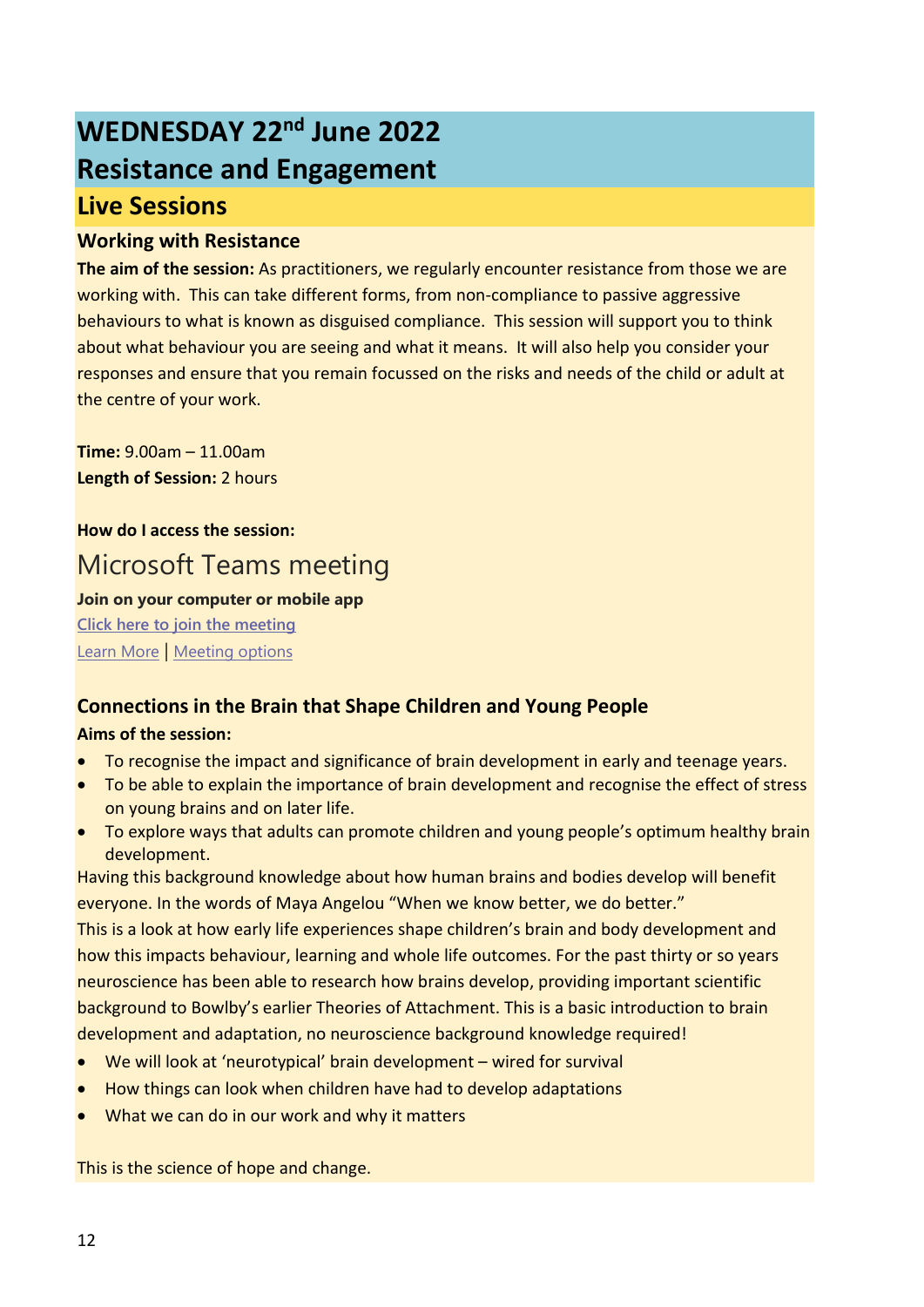# **WEDNESDAY 22nd June 2022 Resistance and Engagement Live Sessions**

#### **Working with Resistance**

**The aim of the session:** As practitioners, we regularly encounter resistance from those we are working with. This can take different forms, from non-compliance to passive aggressive behaviours to what is known as disguised compliance. This session will support you to think about what behaviour you are seeing and what it means. It will also help you consider your responses and ensure that you remain focussed on the risks and needs of the child or adult at the centre of your work.

**Time:** 9.00am – 11.00am **Length of Session:** 2 hours

# **How do I access the session:** Microsoft Teams meeting

#### **Join on your computer or mobile app**

**[Click here to join the meeting](https://teams.microsoft.com/l/meetup-join/19%3ameeting_MjUyMTgwZjAtMjA1NS00ZDdiLTk1NjUtOWI5NGI4MWVhYzI5%40thread.v2/0?context=%7b%22Tid%22%3a%2207162ea2-1b0e-498f-bb55-5b41fd4dce4f%22%2c%22Oid%22%3a%229be3d5e0-82f8-48b4-8d16-6b098c9faf80%22%7d)** [Learn More](https://aka.ms/JoinTeamsMeeting) | [Meeting options](https://teams.microsoft.com/meetingOptions/?organizerId=9be3d5e0-82f8-48b4-8d16-6b098c9faf80&tenantId=07162ea2-1b0e-498f-bb55-5b41fd4dce4f&threadId=19_meeting_MjUyMTgwZjAtMjA1NS00ZDdiLTk1NjUtOWI5NGI4MWVhYzI5@thread.v2&messageId=0&language=en-US)

#### **Connections in the Brain that Shape Children and Young People**

#### **Aims of the session:**

- To recognise the impact and significance of brain development in early and teenage years.
- To be able to explain the importance of brain development and recognise the effect of stress on young brains and on later life.
- To explore ways that adults can promote children and young people's optimum healthy brain development.

Having this background knowledge about how human brains and bodies develop will benefit everyone. In the words of Maya Angelou "When we know better, we do better."

This is a look at how early life experiences shape children's brain and body development and how this impacts behaviour, learning and whole life outcomes. For the past thirty or so years neuroscience has been able to research how brains develop, providing important scientific background to Bowlby's earlier Theories of Attachment. This is a basic introduction to brain development and adaptation, no neuroscience background knowledge required!

- We will look at 'neurotypical' brain development wired for survival
- How things can look when children have had to develop adaptations
- What we can do in our work and why it matters

This is the science of hope and change.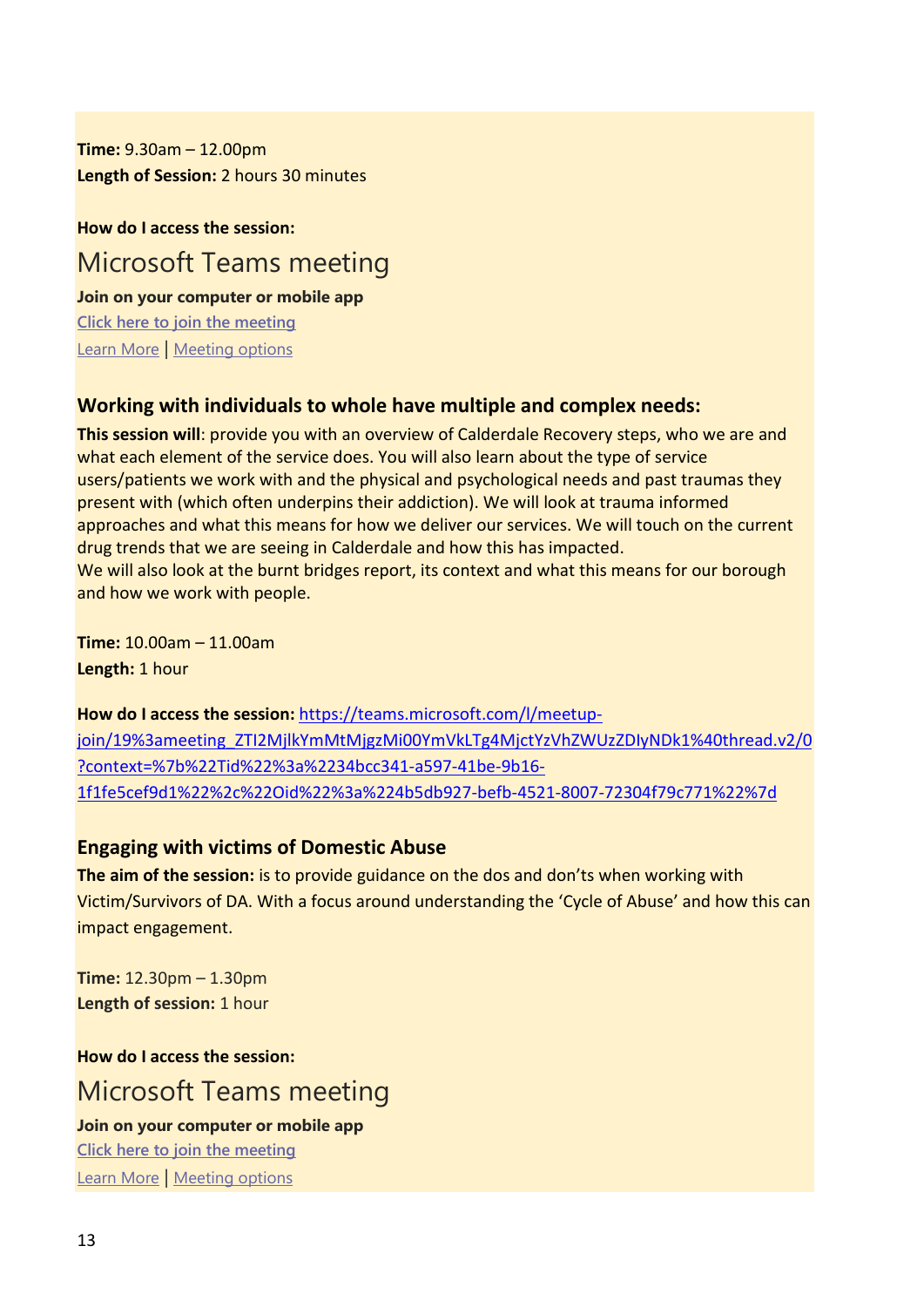**Time:** 9.30am – 12.00pm **Length of Session:** 2 hours 30 minutes

**How do I access the session:** Microsoft Teams meeting **Join on your computer or mobile app**

**[Click here to join the meeting](https://teams.microsoft.com/l/meetup-join/19%3ameeting_NTgxY2Q4OTgtMWQ5NC00NWY4LWFiMGEtZDU5NmRmNDMwMjkz%40thread.v2/0?context=%7b%22Tid%22%3a%2207162ea2-1b0e-498f-bb55-5b41fd4dce4f%22%2c%22Oid%22%3a%224036866c-4345-4327-b082-f31d68797678%22%7d)** [Learn More](https://aka.ms/JoinTeamsMeeting) | [Meeting options](https://teams.microsoft.com/meetingOptions/?organizerId=4036866c-4345-4327-b082-f31d68797678&tenantId=07162ea2-1b0e-498f-bb55-5b41fd4dce4f&threadId=19_meeting_NTgxY2Q4OTgtMWQ5NC00NWY4LWFiMGEtZDU5NmRmNDMwMjkz@thread.v2&messageId=0&language=en-US)

#### **Working with individuals to whole have multiple and complex needs:**

**This session will**: provide you with an overview of Calderdale Recovery steps, who we are and what each element of the service does. You will also learn about the type of service users/patients we work with and the physical and psychological needs and past traumas they present with (which often underpins their addiction). We will look at trauma informed approaches and what this means for how we deliver our services. We will touch on the current drug trends that we are seeing in Calderdale and how this has impacted. We will also look at the burnt bridges report, its context and what this means for our borough and how we work with people.

**Time:** 10.00am – 11.00am **Length:** 1 hour

**How do I access the session:** [https://teams.microsoft.com/l/meetup](https://teams.microsoft.com/l/meetup-join/19%3ameeting_ZTI2MjlkYmMtMjgzMi00YmVkLTg4MjctYzVhZWUzZDIyNDk1%40thread.v2/0?context=%7b%22Tid%22%3a%2234bcc341-a597-41be-9b16-1f1fe5cef9d1%22%2c%22Oid%22%3a%224b5db927-befb-4521-8007-72304f79c771%22%7d)[join/19%3ameeting\\_ZTI2MjlkYmMtMjgzMi00YmVkLTg4MjctYzVhZWUzZDIyNDk1%40thread.v2/0](https://teams.microsoft.com/l/meetup-join/19%3ameeting_ZTI2MjlkYmMtMjgzMi00YmVkLTg4MjctYzVhZWUzZDIyNDk1%40thread.v2/0?context=%7b%22Tid%22%3a%2234bcc341-a597-41be-9b16-1f1fe5cef9d1%22%2c%22Oid%22%3a%224b5db927-befb-4521-8007-72304f79c771%22%7d) [?context=%7b%22Tid%22%3a%2234bcc341-a597-41be-9b16-](https://teams.microsoft.com/l/meetup-join/19%3ameeting_ZTI2MjlkYmMtMjgzMi00YmVkLTg4MjctYzVhZWUzZDIyNDk1%40thread.v2/0?context=%7b%22Tid%22%3a%2234bcc341-a597-41be-9b16-1f1fe5cef9d1%22%2c%22Oid%22%3a%224b5db927-befb-4521-8007-72304f79c771%22%7d) [1f1fe5cef9d1%22%2c%22Oid%22%3a%224b5db927-befb-4521-8007-72304f79c771%22%7d](https://teams.microsoft.com/l/meetup-join/19%3ameeting_ZTI2MjlkYmMtMjgzMi00YmVkLTg4MjctYzVhZWUzZDIyNDk1%40thread.v2/0?context=%7b%22Tid%22%3a%2234bcc341-a597-41be-9b16-1f1fe5cef9d1%22%2c%22Oid%22%3a%224b5db927-befb-4521-8007-72304f79c771%22%7d) 

#### **Engaging with victims of Domestic Abuse**

**The aim of the session:** is to provide guidance on the dos and don'ts when working with Victim/Survivors of DA. With a focus around understanding the 'Cycle of Abuse' and how this can impact engagement.

**Time:** 12.30pm – 1.30pm **Length of session:** 1 hour

**How do I access the session:**

# Microsoft Teams meeting

**Join on your computer or mobile app [Click here to join the meeting](https://teams.microsoft.com/l/meetup-join/19%3ameeting_OGNkMmEyMTItZGE5Zi00Njg3LWJmNzYtYTA3NTY0Zjk4YzBk%40thread.v2/0?context=%7b%22Tid%22%3a%2207162ea2-1b0e-498f-bb55-5b41fd4dce4f%22%2c%22Oid%22%3a%22d2f1b16d-800c-41a9-ba0c-c487ed9d4298%22%7d)**

[Learn More](https://aka.ms/JoinTeamsMeeting) | [Meeting options](https://teams.microsoft.com/meetingOptions/?organizerId=d2f1b16d-800c-41a9-ba0c-c487ed9d4298&tenantId=07162ea2-1b0e-498f-bb55-5b41fd4dce4f&threadId=19_meeting_OGNkMmEyMTItZGE5Zi00Njg3LWJmNzYtYTA3NTY0Zjk4YzBk@thread.v2&messageId=0&language=en-US)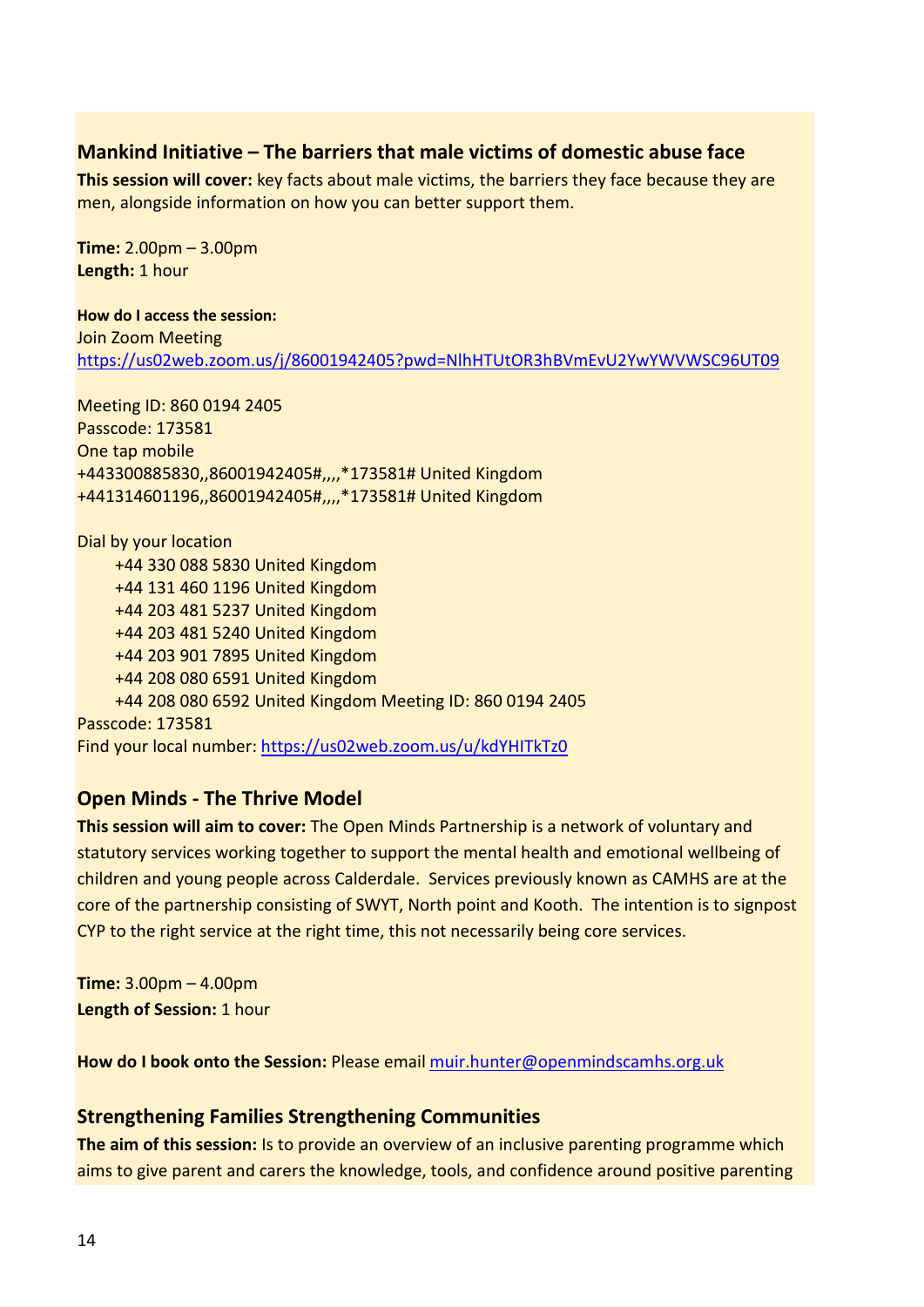#### **Mankind Initiative – The barriers that male victims of domestic abuse face**

**This session will cover:** key facts about male victims, the barriers they face because they are men, alongside information on how you can better support them.

**Time:** 2.00pm – 3.00pm **Length:** 1 hour

**How do I access the session:** Join Zoom Meeting <https://us02web.zoom.us/j/86001942405?pwd=NlhHTUtOR3hBVmEvU2YwYWVWSC96UT09>

Meeting ID: 860 0194 2405 Passcode: 173581 One tap mobile +443300885830,,86001942405#,,,,\*173581# United Kingdom +441314601196,,86001942405#,,,,\*173581# United Kingdom

Dial by your location +44 330 088 5830 United Kingdom +44 131 460 1196 United Kingdom +44 203 481 5237 United Kingdom +44 203 481 5240 United Kingdom +44 203 901 7895 United Kingdom +44 208 080 6591 United Kingdom +44 208 080 6592 United Kingdom Meeting ID: 860 0194 2405 Passcode: 173581 Find your local number:<https://us02web.zoom.us/u/kdYHITkTz0>

#### **Open Minds - The Thrive Model**

**This session will aim to cover:** The Open Minds Partnership is a network of voluntary and statutory services working together to support the mental health and emotional wellbeing of children and young people across Calderdale. Services previously known as CAMHS are at the core of the partnership consisting of SWYT, North point and Kooth. The intention is to signpost CYP to the right service at the right time, this not necessarily being core services.

**Time:** 3.00pm – 4.00pm **Length of Session:** 1 hour

**How do I book onto the Session:** Please email [muir.hunter@openmindscamhs.org.uk](mailto:muir.hunter@openmindscamhs.org.uk)

#### **Strengthening Families Strengthening Communities**

**The aim of this session:** Is to provide an overview of an inclusive parenting programme which aims to give parent and carers the knowledge, tools, and confidence around positive parenting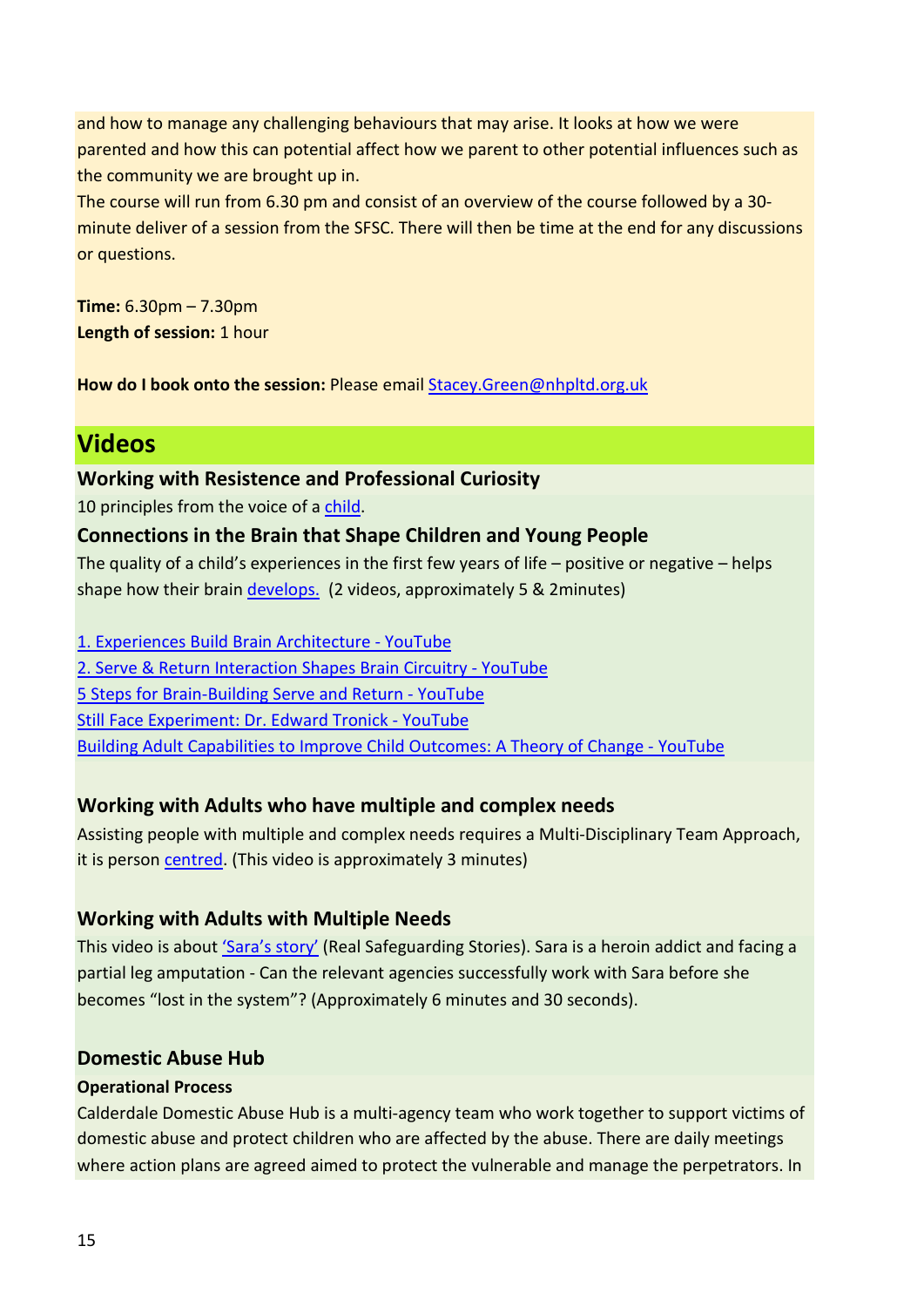and how to manage any challenging behaviours that may arise. It looks at how we were parented and how this can potential affect how we parent to other potential influences such as the community we are brought up in.

The course will run from 6.30 pm and consist of an overview of the course followed by a 30 minute deliver of a session from the SFSC. There will then be time at the end for any discussions or questions.

**Time:** 6.30pm – 7.30pm **Length of session:** 1 hour

**How do I book onto the session:** Please email Stacey.Green@nhpltd.org.uk

# **Videos**

#### **Working with Resistence and Professional Curiosity**

10 principles from the voice of a [child.](https://www.youtube.com/watch?v=XqGxGUzL89o)

#### **Connections in the Brain that Shape Children and Young People**

The quality of a child's experiences in the first few years of life – positive or negative – helps shape how their brain [develops.](https://www.firstthingsfirst.org/early-childhood-matters/brain-development/) (2 videos, approximately 5 & 2minutes)

[1. Experiences Build Brain Architecture - YouTube](https://www.youtube.com/watch?v=VNNsN9IJkws)

[2. Serve & Return Interaction Shapes Brain Circuitry - YouTube](https://www.youtube.com/watch?v=m_5u8-QSh6A)

[5 Steps for Brain-Building Serve and Return - YouTube](https://www.youtube.com/watch?v=KNrnZag17Ek)

[Still Face Experiment: Dr. Edward Tronick - YouTube](https://www.youtube.com/watch?v=apzXGEbZht0)

[Building Adult Capabilities to Improve Child Outcomes: A Theory of Change - YouTube](https://www.youtube.com/watch?v=urU-a_FsS5Y)

#### **Working with Adults who have multiple and complex needs**

Assisting people with multiple and complex needs requires a Multi-Disciplinary Team Approach, it is person [centred.](https://www.scie.org.uk/integrated-care/research-practice/activities/multidisciplinary-teams) (This video is approximately 3 minutes)

#### **Working with Adults with Multiple Needs**

This video is about ['Sara's story'](https://realsafeguardingstories.com/story/saras-story-multi-agency-working-with-an-adult-with-multiple-needs/) (Real Safeguarding Stories). Sara is a heroin addict and facing a partial leg amputation - Can the relevant agencies successfully work with Sara before she becomes "lost in the system"? (Approximately 6 minutes and 30 seconds).

#### **Domestic Abuse Hub**

#### **Operational Process**

Calderdale Domestic Abuse Hub is a multi-agency team who work together to support victims of domestic abuse and protect children who are affected by the abuse. There are daily meetings where action plans are agreed aimed to protect the vulnerable and manage the perpetrators. In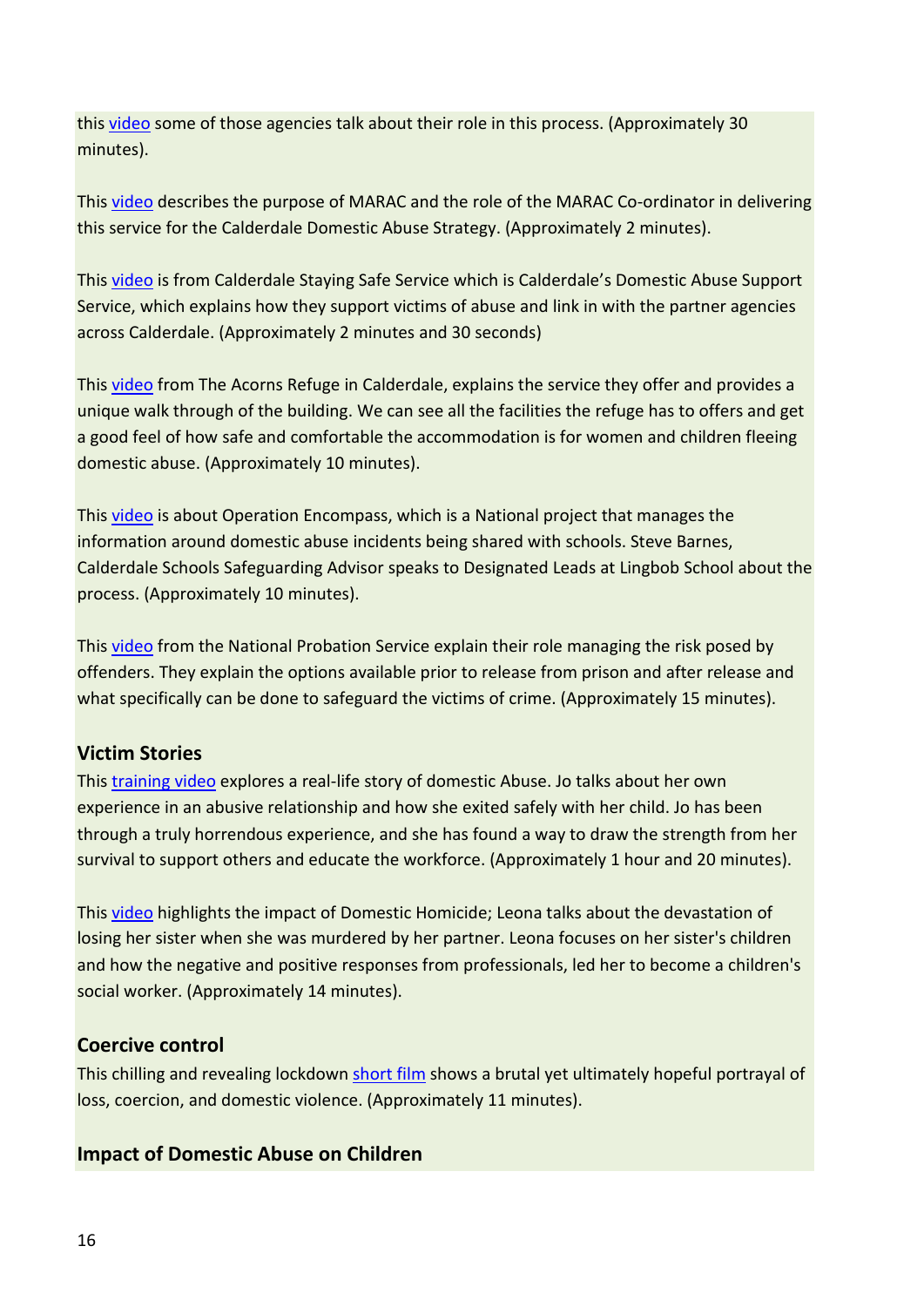this [video](https://www.youtube.com/watch?v=aJUGIW06Jy4) some of those agencies talk about their role in this process. (Approximately 30 minutes).

This [video](https://www.youtube.com/watch?v=z-aWoUCzato) describes the purpose of MARAC and the role of the MARAC Co-ordinator in delivering this service for the Calderdale Domestic Abuse Strategy. (Approximately 2 minutes).

This [video](https://www.youtube.com/watch?v=YUSLIpz859k) is from Calderdale Staying Safe Service which is Calderdale's Domestic Abuse Support Service, which explains how they support victims of abuse and link in with the partner agencies across Calderdale. (Approximately 2 minutes and 30 seconds)

This [video](https://www.youtube.com/watch?v=hEIhl6woNBg) from The Acorns Refuge in Calderdale, explains the service they offer and provides a unique walk through of the building. We can see all the facilities the refuge has to offers and get a good feel of how safe and comfortable the accommodation is for women and children fleeing domestic abuse. (Approximately 10 minutes).

This [video](https://www.youtube.com/watch?v=SvnCf8QiQaQ) is about Operation Encompass, which is a National project that manages the information around domestic abuse incidents being shared with schools. Steve Barnes, Calderdale Schools Safeguarding Advisor speaks to Designated Leads at Lingbob School about the process. (Approximately 10 minutes).

This [video](https://www.youtube.com/watch?v=IZtQjWkfunc) from the National Probation Service explain their role managing the risk posed by offenders. They explain the options available prior to release from prison and after release and what specifically can be done to safeguard the victims of crime. (Approximately 15 minutes).

#### **Victim Stories**

This [training video](https://www.youtube.com/watch?v=Jr_QDhgkkA0) explores a real-life story of domestic Abuse. Jo talks about her own experience in an abusive relationship and how she exited safely with her child. Jo has been through a truly horrendous experience, and she has found a way to draw the strength from her survival to support others and educate the workforce. (Approximately 1 hour and 20 minutes).

This [video](https://www.youtube.com/watch?v=Lykql97yKb4) highlights the impact of Domestic Homicide; Leona talks about the devastation of losing her sister when she was murdered by her partner. Leona focuses on her sister's children and how the negative and positive responses from professionals, led her to become a children's social worker. (Approximately 14 minutes).

#### **Coercive control**

This chilling and revealing lockdown [short film](https://www.refuge.org.uk/surfaces/) shows a brutal yet ultimately hopeful portrayal of loss, coercion, and domestic violence. (Approximately 11 minutes).

#### **Impact of Domestic Abuse on Children**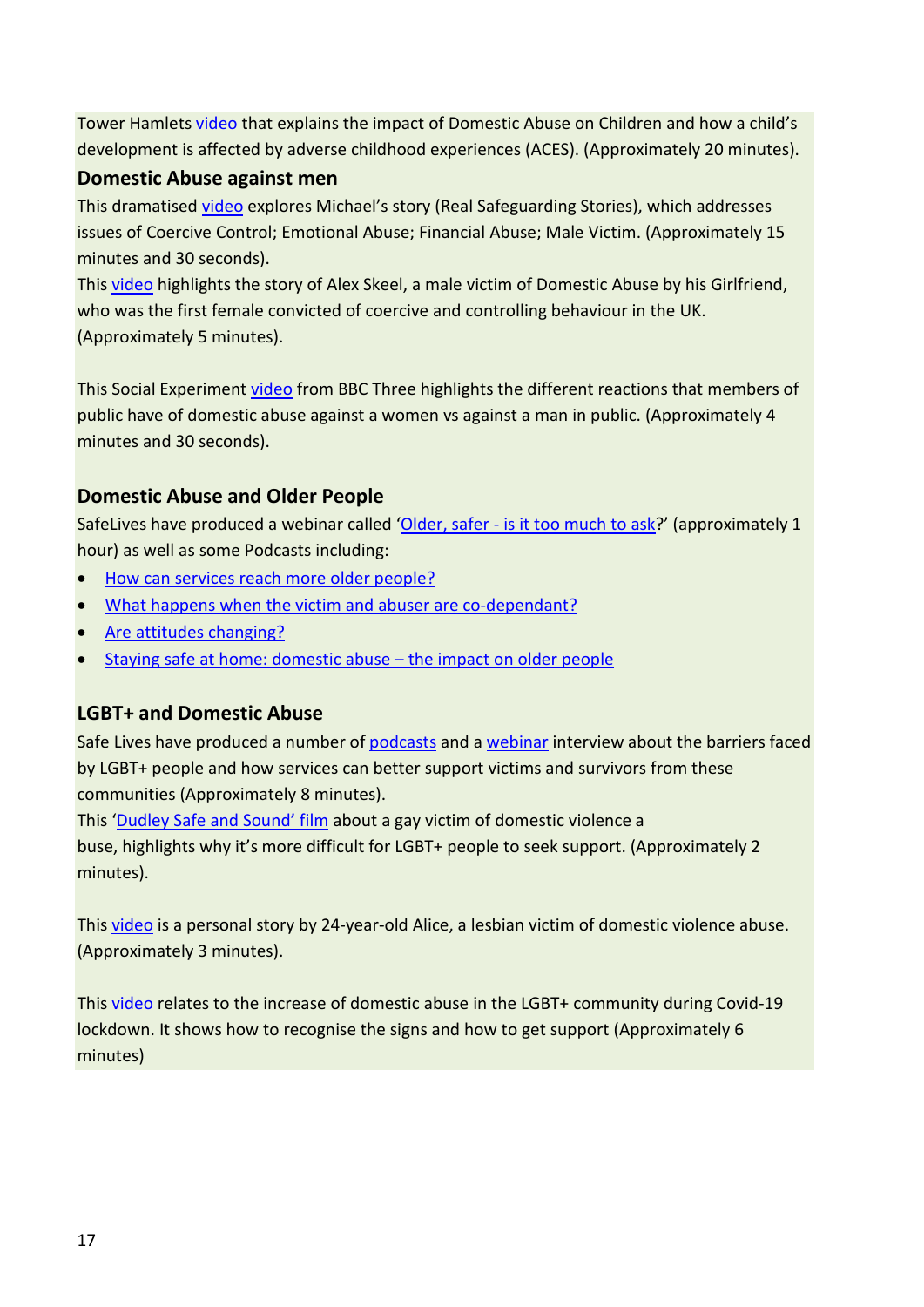Tower Hamlets [video](https://towerhamlets.app.box.com/s/n44252hkuw9anay9rpbr8ko9xicnz25z) that explains the impact of Domestic Abuse on Children and how a child's development is affected by adverse childhood experiences (ACES). (Approximately 20 minutes).

#### **Domestic Abuse against men**

This dramatised [video](https://realsafeguardingstories.com/story/michaels-story-coercive-control/) explores Michael's story (Real Safeguarding Stories), which addresses issues of Coercive Control; Emotional Abuse; Financial Abuse; Male Victim. (Approximately 15 minutes and 30 seconds).

This [video](https://www.youtube.com/watch?v=3_dr9y41J38) highlights the story of Alex Skeel, a male victim of Domestic Abuse by his Girlfriend, who was the first female convicted of coercive and controlling behaviour in the UK. (Approximately 5 minutes).

This Social Experimen[t video](https://www.youtube.com/watch?v=GccCWo_eZdw) from BBC Three highlights the different reactions that members of public have of domestic abuse against a women vs against a man in public. (Approximately 4 minutes and 30 seconds).

#### **Domestic Abuse and Older People**

SafeLives have produced a webinar called ['Older, safer - is it too much to ask?](https://www.youtube.com/watch?time_continue=2&v=e7_Es6hrvME&feature=emb_title)' (approximately 1 hour) as well as some Podcasts including:

- [How can services reach more older people?](https://soundcloud.com/domestic-abuse-podcast/spotlight-older-people-episode-1)
- [What happens when the victim and abuser are co-dependant?](https://soundcloud.com/domestic-abuse-podcast/spotlight-older-people-episode-2)
- [Are attitudes changing?](https://soundcloud.com/domestic-abuse-podcast/domestic-abuse-and-older-people-are-attitudes-changing)
- [Staying safe at home: domestic abuse the impact on older people](https://soundcloud.com/domestic-abuse-podcast/domestic-abuse-the-impact-on-older-people)

#### **LGBT+ and Domestic Abuse**

Safe Lives have produced a number of [podcasts](https://safelives.org.uk/knowledge-hub/spotlights/spotlight-6-lgbt-people-and-domestic-abuse) and [a webinar](https://youtu.be/zhVjJn17Xlw) interview about the barriers faced by LGBT+ people and how services can better support victims and survivors from these communities (Approximately 8 minutes).

This ['Dudley Safe and Sound' film](https://youtu.be/g-w-uP3nvZQ) about a gay victim of domestic violence a buse, highlights why it's more difficult for LGBT+ people to seek support. (Approximately 2 minutes).

This [video](https://youtu.be/kvof23CvjMo) is a personal story by 24-year-old Alice, a lesbian victim of domestic violence abuse. (Approximately 3 minutes).

This [video](https://youtu.be/abw5GbgfW3E) relates to the increase of domestic abuse in the LGBT+ community during Covid-19 lockdown. It shows how to recognise the signs and how to get support (Approximately 6 minutes)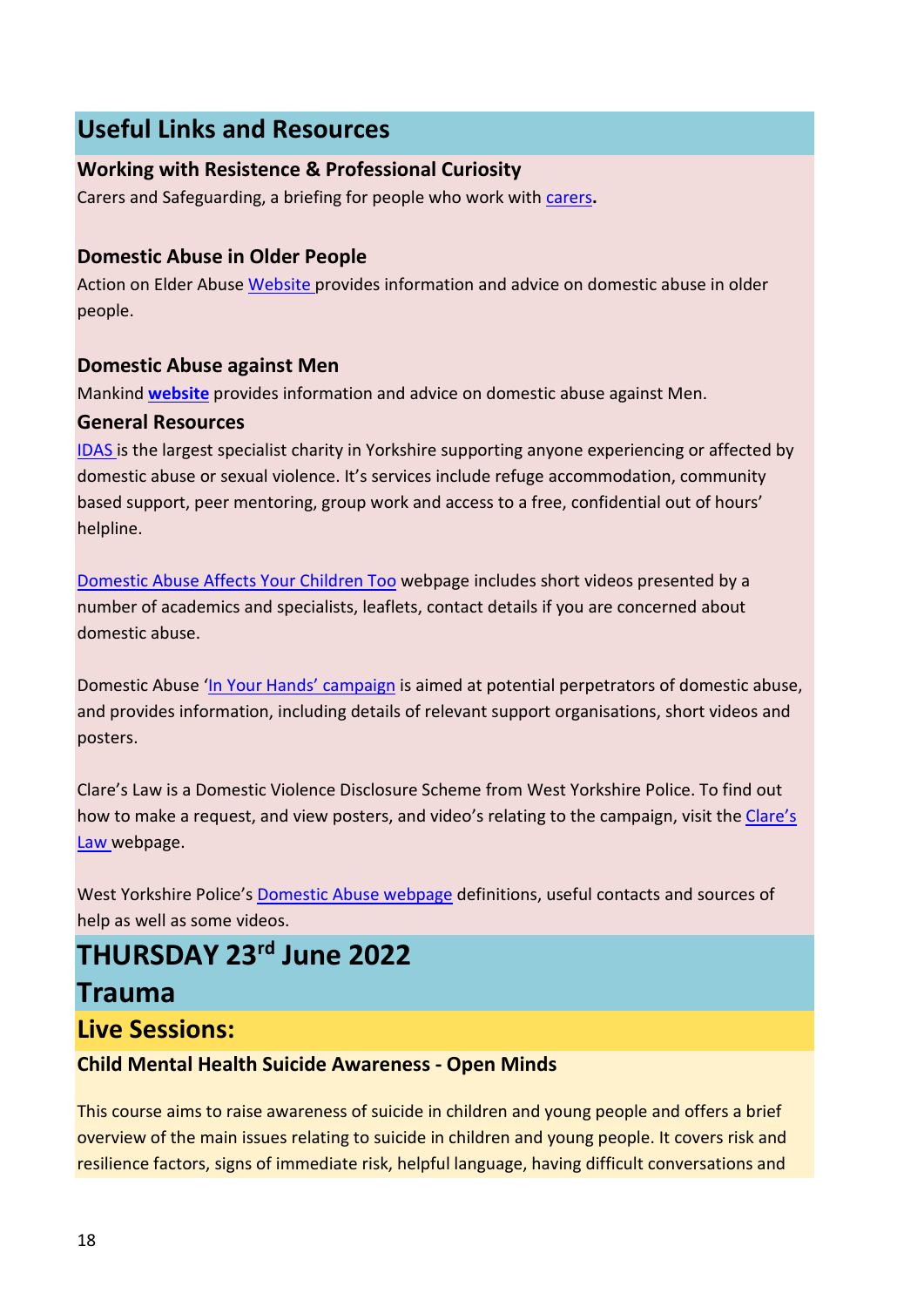# **Useful Links and Resources**

#### **Working with Resistence & Professional Curiosity**

Carers and Safeguarding, a briefing for people who work wit[h carers](https://www.local.gov.uk/parliament/briefings-and-responses/carers-and-safeguarding-briefing-people-who-work-carers#case-study-1-making-safeguarding-personal-and-professional-curiosity)**.**

#### **Domestic Abuse in Older People**

Action on Elder Abuse [Website](https://www.thenationalcareline.org/AccessingHelp/ActionOnElderAbuse) provides information and advice on domestic abuse in older people.

#### **Domestic Abuse against Men**

Mankind **[website](https://www.mankind.org.uk/)** provides information and advice on domestic abuse against Men.

#### **General Resources**

[IDAS](https://www.idas.org.uk/) is the largest specialist charity in Yorkshire supporting anyone experiencing or affected by domestic abuse or sexual violence. It's services include refuge accommodation, community based support, peer mentoring, group work and access to a free, confidential out of hours' helpline.

[Domestic Abuse Affects Your Children Too](https://www.westyorkshire.police.uk/advice/abuse-anti-social-behaviour/domestic-abuse/domestic-abuse-affects-your-children-too/domestic-abuse-affects-your-children-too) webpage includes short videos presented by a number of academics and specialists, leaflets, contact details if you are concerned about domestic abuse.

Domestic Abuse ['In Your Hands'](https://www.westyorkshire.police.uk/InYourHands) campaign is aimed at potential perpetrators of domestic abuse, and provides information, including details of relevant support organisations, short videos and posters.

Clare's Law is a Domestic Violence Disclosure Scheme from West Yorkshire Police. To find out how to make a request, and view posters, and video's relating to the campaign, visit the Clare's [Law](https://www.westyorkshire.police.uk/ClaresLaw) webpage.

West Yorkshire Police'[s Domestic Abuse webpage](https://www.westyorkshire.police.uk/advice/abuse-anti-social-behaviour/domestic-abuse/domestic-abuse/domestic-abuse) definitions, useful contacts and sources of help as well as some videos.

# **THURSDAY 23rd June 2022**

## **Trauma**

**Live Sessions:**

#### **Child Mental Health Suicide Awareness - Open Minds**

This course aims to raise awareness of suicide in children and young people and offers a brief overview of the main issues relating to suicide in children and young people. It covers risk and resilience factors, signs of immediate risk, helpful language, having difficult conversations and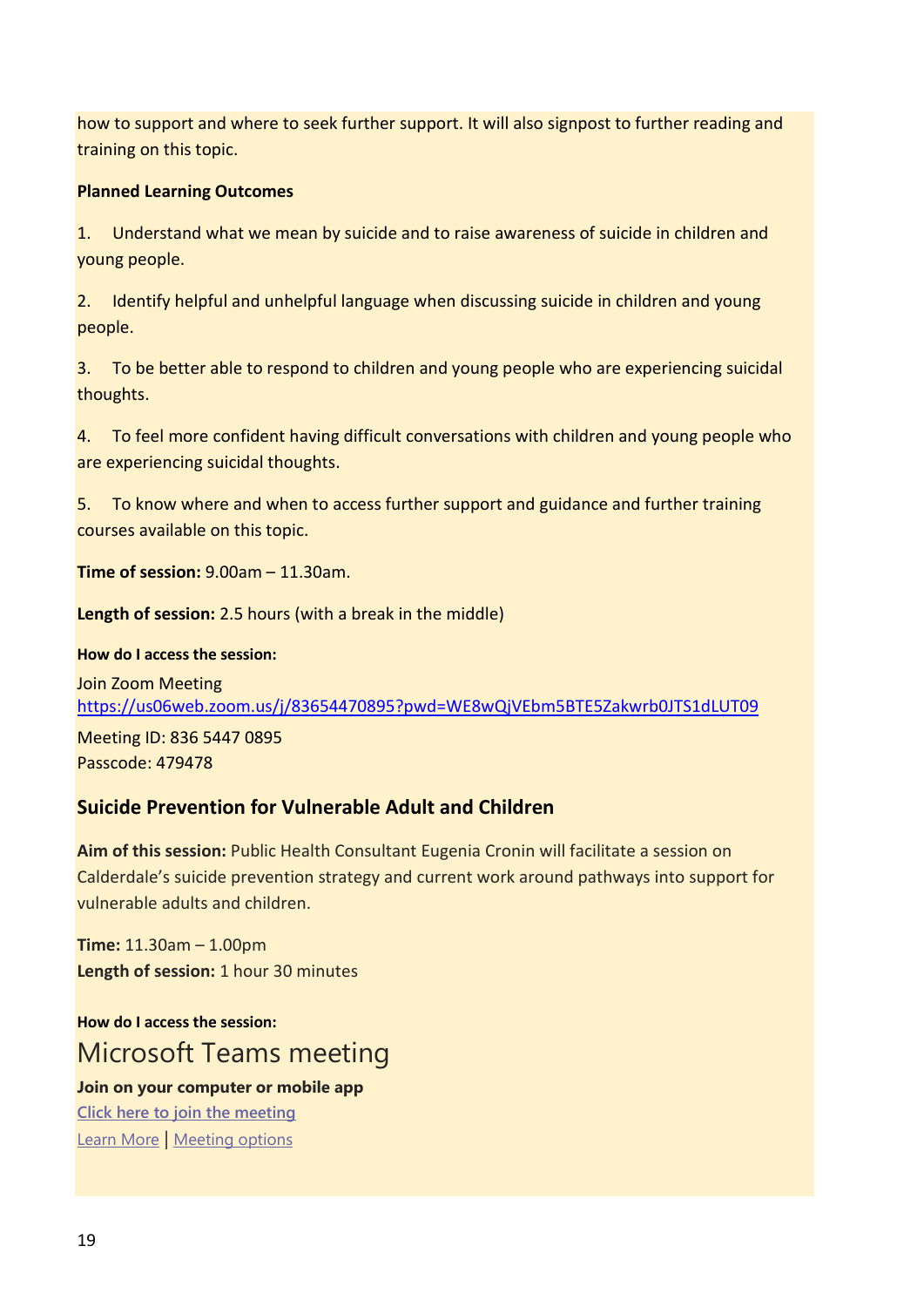how to support and where to seek further support. It will also signpost to further reading and training on this topic.

#### **Planned Learning Outcomes**

1. Understand what we mean by suicide and to raise awareness of suicide in children and young people.

2. Identify helpful and unhelpful language when discussing suicide in children and young people.

3. To be better able to respond to children and young people who are experiencing suicidal thoughts.

4. To feel more confident having difficult conversations with children and young people who are experiencing suicidal thoughts.

5. To know where and when to access further support and guidance and further training courses available on this topic.

**Time of session:** 9.00am – 11.30am.

**Length of session:** 2.5 hours (with a break in the middle)

**How do I access the session:**

Join Zoom Meeting <https://us06web.zoom.us/j/83654470895?pwd=WE8wQjVEbm5BTE5Zakwrb0JTS1dLUT09>

Meeting ID: 836 5447 0895 Passcode: 479478

#### **Suicide Prevention for Vulnerable Adult and Children**

**Aim of this session:** Public Health Consultant Eugenia Cronin will facilitate a session on Calderdale's suicide prevention strategy and current work around pathways into support for vulnerable adults and children.

**Time:** 11.30am – 1.00pm **Length of session:** 1 hour 30 minutes

**How do I access the session:** Microsoft Teams meeting **Join on your computer or mobile app [Click here to join the meeting](https://teams.microsoft.com/l/meetup-join/19%3ameeting_NDU2MmQ0OTQtNGE0NS00YWZlLTljNWMtNDE3NmY0ZTFlYzJh%40thread.v2/0?context=%7b%22Tid%22%3a%2207162ea2-1b0e-498f-bb55-5b41fd4dce4f%22%2c%22Oid%22%3a%228d9fc480-af14-4b54-9ccf-0534d4a127a8%22%7d)** [Learn More](https://aka.ms/JoinTeamsMeeting) | [Meeting options](https://teams.microsoft.com/meetingOptions/?organizerId=8d9fc480-af14-4b54-9ccf-0534d4a127a8&tenantId=07162ea2-1b0e-498f-bb55-5b41fd4dce4f&threadId=19_meeting_NDU2MmQ0OTQtNGE0NS00YWZlLTljNWMtNDE3NmY0ZTFlYzJh@thread.v2&messageId=0&language=en-US)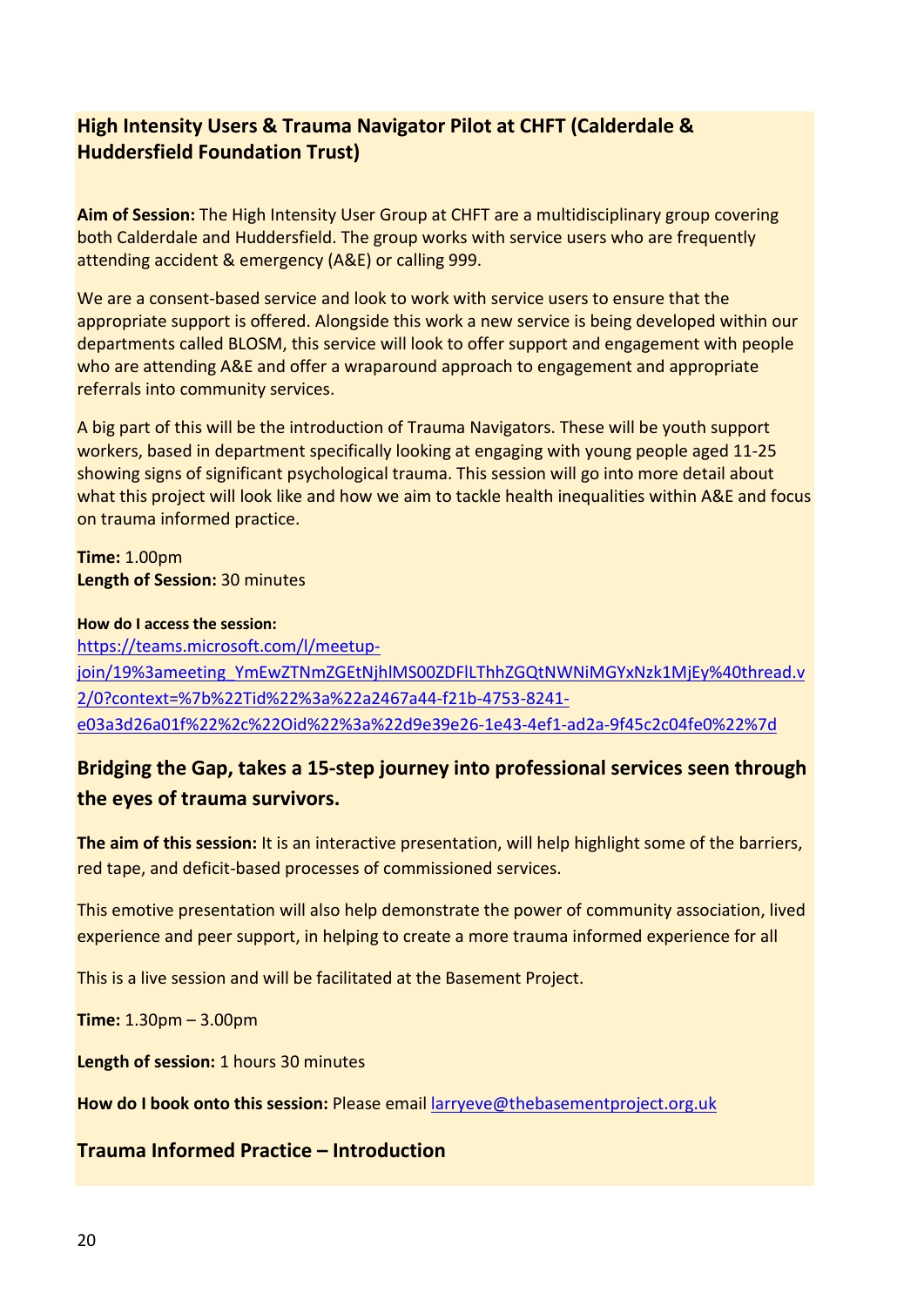#### **High Intensity Users & Trauma Navigator Pilot at CHFT (Calderdale & Huddersfield Foundation Trust)**

**Aim of Session:** The High Intensity User Group at CHFT are a multidisciplinary group covering both Calderdale and Huddersfield. The group works with service users who are frequently attending accident & emergency (A&E) or calling 999.

We are a consent-based service and look to work with service users to ensure that the appropriate support is offered. Alongside this work a new service is being developed within our departments called BLOSM, this service will look to offer support and engagement with people who are attending A&E and offer a wraparound approach to engagement and appropriate referrals into community services.

A big part of this will be the introduction of Trauma Navigators. These will be youth support workers, based in department specifically looking at engaging with young people aged 11-25 showing signs of significant psychological trauma. This session will go into more detail about what this project will look like and how we aim to tackle health inequalities within A&E and focus on trauma informed practice.

**Time:** 1.00pm **Length of Session:** 30 minutes

#### **How do I access the session:**

[https://teams.microsoft.com/l/meetup](https://teams.microsoft.com/l/meetup-join/19%3ameeting_YmEwZTNmZGEtNjhlMS00ZDFlLThhZGQtNWNiMGYxNzk1MjEy%40thread.v2/0?context=%7b%22Tid%22%3a%22a2467a44-f21b-4753-8241-e03a3d26a01f%22%2c%22Oid%22%3a%22d9e39e26-1e43-4ef1-ad2a-9f45c2c04fe0%22%7d)[join/19%3ameeting\\_YmEwZTNmZGEtNjhlMS00ZDFlLThhZGQtNWNiMGYxNzk1MjEy%40thread.v](https://teams.microsoft.com/l/meetup-join/19%3ameeting_YmEwZTNmZGEtNjhlMS00ZDFlLThhZGQtNWNiMGYxNzk1MjEy%40thread.v2/0?context=%7b%22Tid%22%3a%22a2467a44-f21b-4753-8241-e03a3d26a01f%22%2c%22Oid%22%3a%22d9e39e26-1e43-4ef1-ad2a-9f45c2c04fe0%22%7d) [2/0?context=%7b%22Tid%22%3a%22a2467a44-f21b-4753-8241](https://teams.microsoft.com/l/meetup-join/19%3ameeting_YmEwZTNmZGEtNjhlMS00ZDFlLThhZGQtNWNiMGYxNzk1MjEy%40thread.v2/0?context=%7b%22Tid%22%3a%22a2467a44-f21b-4753-8241-e03a3d26a01f%22%2c%22Oid%22%3a%22d9e39e26-1e43-4ef1-ad2a-9f45c2c04fe0%22%7d) [e03a3d26a01f%22%2c%22Oid%22%3a%22d9e39e26-1e43-4ef1-ad2a-9f45c2c04fe0%22%7d](https://teams.microsoft.com/l/meetup-join/19%3ameeting_YmEwZTNmZGEtNjhlMS00ZDFlLThhZGQtNWNiMGYxNzk1MjEy%40thread.v2/0?context=%7b%22Tid%22%3a%22a2467a44-f21b-4753-8241-e03a3d26a01f%22%2c%22Oid%22%3a%22d9e39e26-1e43-4ef1-ad2a-9f45c2c04fe0%22%7d)

#### **Bridging the Gap, takes a 15-step journey into professional services seen through the eyes of trauma survivors.**

**The aim of this session:** It is an interactive presentation, will help highlight some of the barriers, red tape, and deficit-based processes of commissioned services.

This emotive presentation will also help demonstrate the power of community association, lived experience and peer support, in helping to create a more trauma informed experience for all

This is a live session and will be facilitated at the Basement Project.

**Time:** 1.30pm – 3.00pm

**Length of session:** 1 hours 30 minutes

**How do I book onto this session:** Please email [larryeve@thebasementproject.org.uk](mailto:larryeve@thebasementproject.org.uk)

**Trauma Informed Practice – Introduction**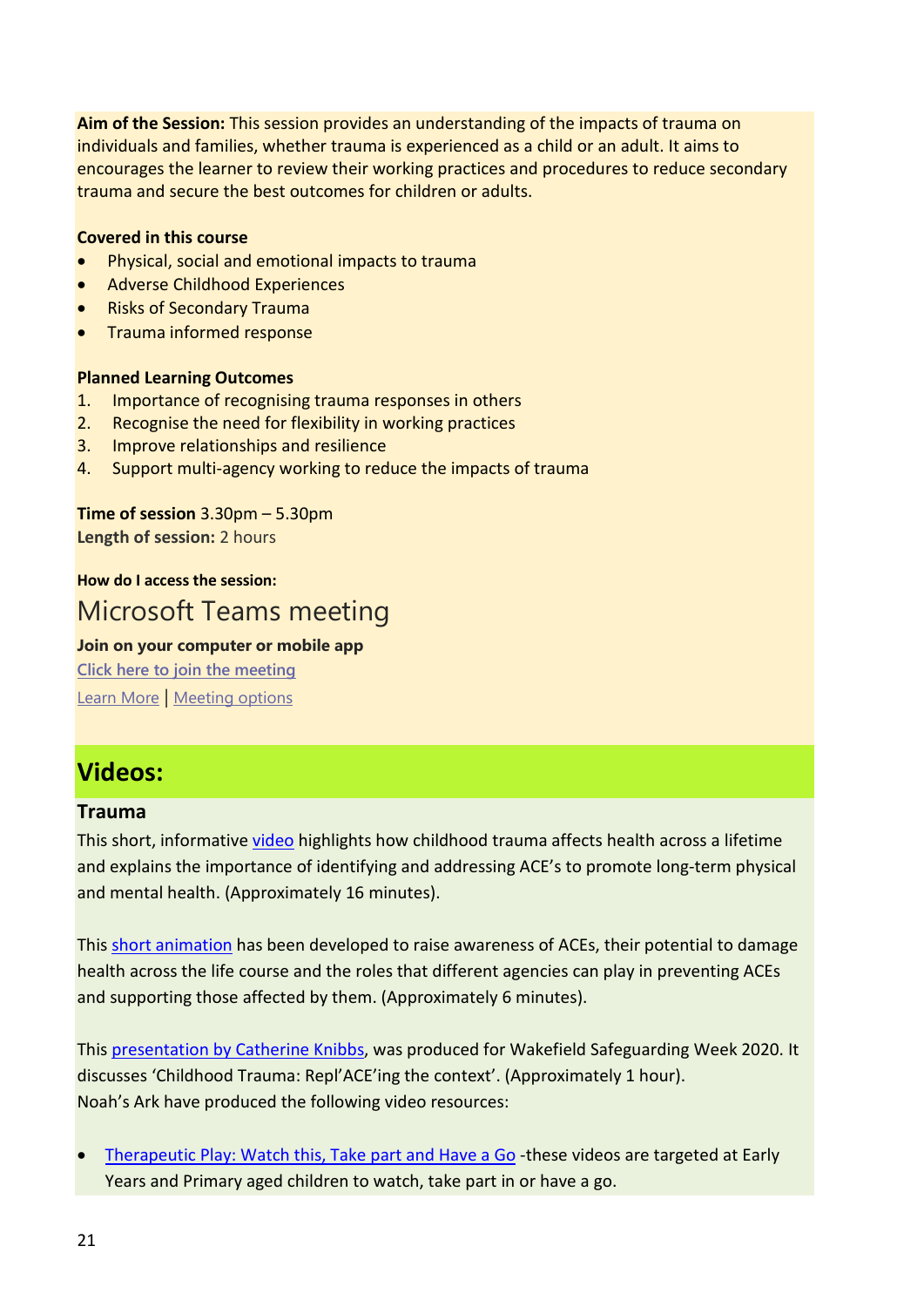**Aim of the Session:** This session provides an understanding of the impacts of trauma on individuals and families, whether trauma is experienced as a child or an adult. It aims to encourages the learner to review their working practices and procedures to reduce secondary trauma and secure the best outcomes for children or adults.

#### **Covered in this course**

- Physical, social and emotional impacts to trauma
- Adverse Childhood Experiences
- Risks of Secondary Trauma
- Trauma informed response

#### **Planned Learning Outcomes**

- 1. Importance of recognising trauma responses in others
- 2. Recognise the need for flexibility in working practices
- 3. Improve relationships and resilience
- 4. Support multi-agency working to reduce the impacts of trauma

**Time of session** 3.30pm – 5.30pm **Length of session:** 2 hours

#### **How do I access the session:** Microsoft Teams meeting

#### **Join on your computer or mobile app [Click here to join the meeting](https://teams.microsoft.com/l/meetup-join/19%3ameeting_ZGQ5Y2RkYmEtNWQ3ZS00NTlmLWI3YjYtZDJhNTY0YTI4NTg4%40thread.v2/0?context=%7b%22Tid%22%3a%2207162ea2-1b0e-498f-bb55-5b41fd4dce4f%22%2c%22Oid%22%3a%228d9fc480-af14-4b54-9ccf-0534d4a127a8%22%7d)**

[Learn More](https://aka.ms/JoinTeamsMeeting) | [Meeting options](https://teams.microsoft.com/meetingOptions/?organizerId=8d9fc480-af14-4b54-9ccf-0534d4a127a8&tenantId=07162ea2-1b0e-498f-bb55-5b41fd4dce4f&threadId=19_meeting_ZGQ5Y2RkYmEtNWQ3ZS00NTlmLWI3YjYtZDJhNTY0YTI4NTg4@thread.v2&messageId=0&language=en-US)

# **Videos:**

#### **Trauma**

This short, informativ[e video](https://www.youtube.com/watch?v=95ovIJ3dsNk) highlights how childhood trauma affects health across a lifetime and explains the importance of identifying and addressing ACE's to promote long-term physical and mental health. (Approximately 16 minutes).

This [short animation](https://www.youtube.com/watch?v=XHgLYI9KZ-A) has been developed to raise awareness of ACEs, their potential to damage health across the life course and the roles that different agencies can play in preventing ACEs and supporting those affected by them. (Approximately 6 minutes).

This [presentation by Catherine Knibbs,](https://www.youtube.com/watch?v=JLbtwMJO7yE&feature=youtu.be) was produced for Wakefield Safeguarding Week 2020. It discusses 'Childhood Trauma: Repl'ACE'ing the context'. (Approximately 1 hour). Noah's Ark have produced the following video resources:

• [Therapeutic Play: Watch this, Take part and Have a Go](http://www.noahsarkcentre.org.uk/therapy-takepart.html) -these videos are targeted at Early Years and Primary aged children to watch, take part in or have a go.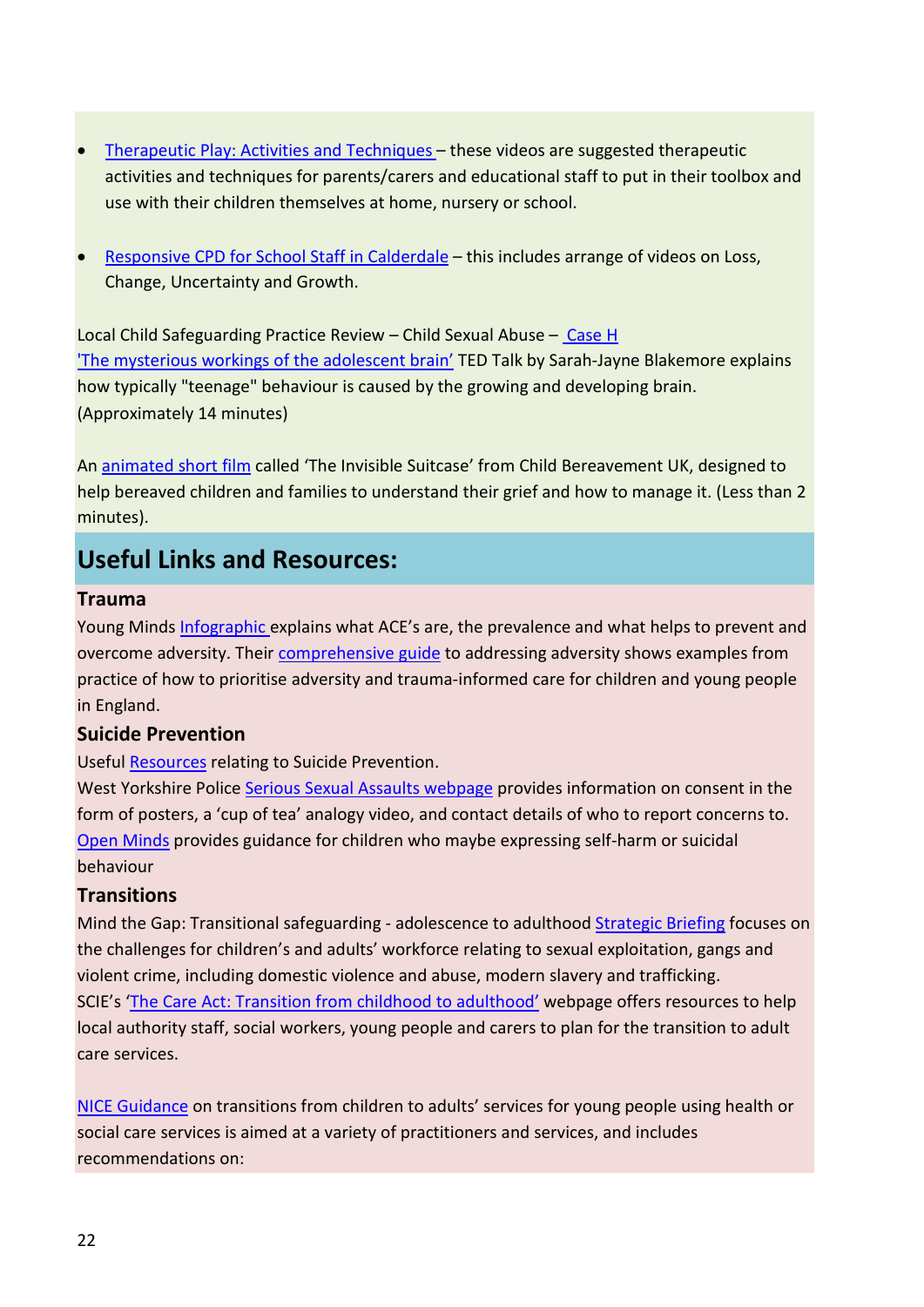- [Therapeutic Play: Activities and Techniques –](http://www.noahsarkcentre.org.uk/therapy-activities.html) these videos are suggested therapeutic activities and techniques for parents/carers and educational staff to put in their toolbox and use with their children themselves at home, nursery or school.
- [Responsive CPD for School Staff in Calderdale](http://www.noahsarkcentre.org.uk/training-workshops.html)  this includes arrange of videos on Loss, Change, Uncertainty and Growth.

Local Child Safeguarding Practice Review – Child Sexual Abuse – [Case H](https://library.nspcc.org.uk/HeritageScripts/Hapi.dll/filetransfer/2022AnonymousCaseHSummary.pdf?filename=CC18C70DB7C8C3D49403BB94EB176F95207E5F66235DCA89651F5ED2BA2CCB261D37673D308B5A1B959EE91584609C680AB9C9564E696098B1D3307A2E1CDAABEAA1B944896194FE477959E3FF86A8AF9B3A&DataSetName=LIVEDATA) ['The mysterious workings of the adolescent brain'](https://www.ted.com/talks/sarah_jayne_blakemore_the_mysterious_workings_of_the_adolescent_brain?language=en) TED Talk by Sarah-Jayne Blakemore explains how typically "teenage" behaviour is caused by the growing and developing brain. (Approximately 14 minutes)

An [animated short film](https://ncmd.us3.list-manage.com/track/click?u=e561b2f80953e7c9e5d18b2d0&id=e713ffe6bb&e=9b1f4d615b) called 'The Invisible Suitcase' from Child Bereavement UK, designed to help bereaved children and families to understand their grief and how to manage it. (Less than 2 minutes).

# **Useful Links and Resources:**

#### **Trauma**

Young Minds [Infographic](https://youngminds.org.uk/media/2141/ym-addressing-adversity-infographic-poster-web.pdf) explains what ACE's are, the prevalence and what helps to prevent and overcome adversity. Their [comprehensive guide](https://youngminds.org.uk/media/2142/ym-addressing-adversity-book-web.pdf) to addressing adversity shows examples from practice of how to prioritise adversity and trauma-informed care for children and young people in England.

#### **Suicide Prevention**

Useful [Resources](https://suicidepreventionwestyorkshire.co.uk/useful-resources) relating to Suicide Prevention.

West Yorkshire Police [Serious Sexual Assaults webpage](https://www.westyorkshire.police.uk/staysafe) provides information on consent in the form of posters, a 'cup of tea' analogy video, and contact details of who to report concerns to. [Open Minds](http://www.openmindscalderdale.org.uk/if-a-child-is-harming-themselves/) provides guidance for children who maybe expressing self-harm or suicidal behaviour

#### **Transitions**

Mind the Gap: Transitional safeguarding - adolescence to adulthood [Strategic Briefing](https://www.researchinpractice.org.uk/all/publications/2018/august/transitional-safeguarding-adolescence-to-adulthood-strategic-briefing-2018/) focuses on the challenges for children's and adults' workforce relating to sexual exploitation, gangs and violent crime, including domestic violence and abuse, modern slavery and trafficking. SCIE's ['The Care Act: Transition from childhood to adulthood'](https://www.scie.org.uk/care-act-2014/transition-from-childhood-to-adulthood/) webpage offers resources to help local authority staff, social workers, young people and carers to plan for the transition to adult care services.

[NICE Guidance](https://www.nice.org.uk/guidance/ng43) on transitions from children to adults' services for young people using health or social care services is aimed at a variety of practitioners and services, and includes recommendations on: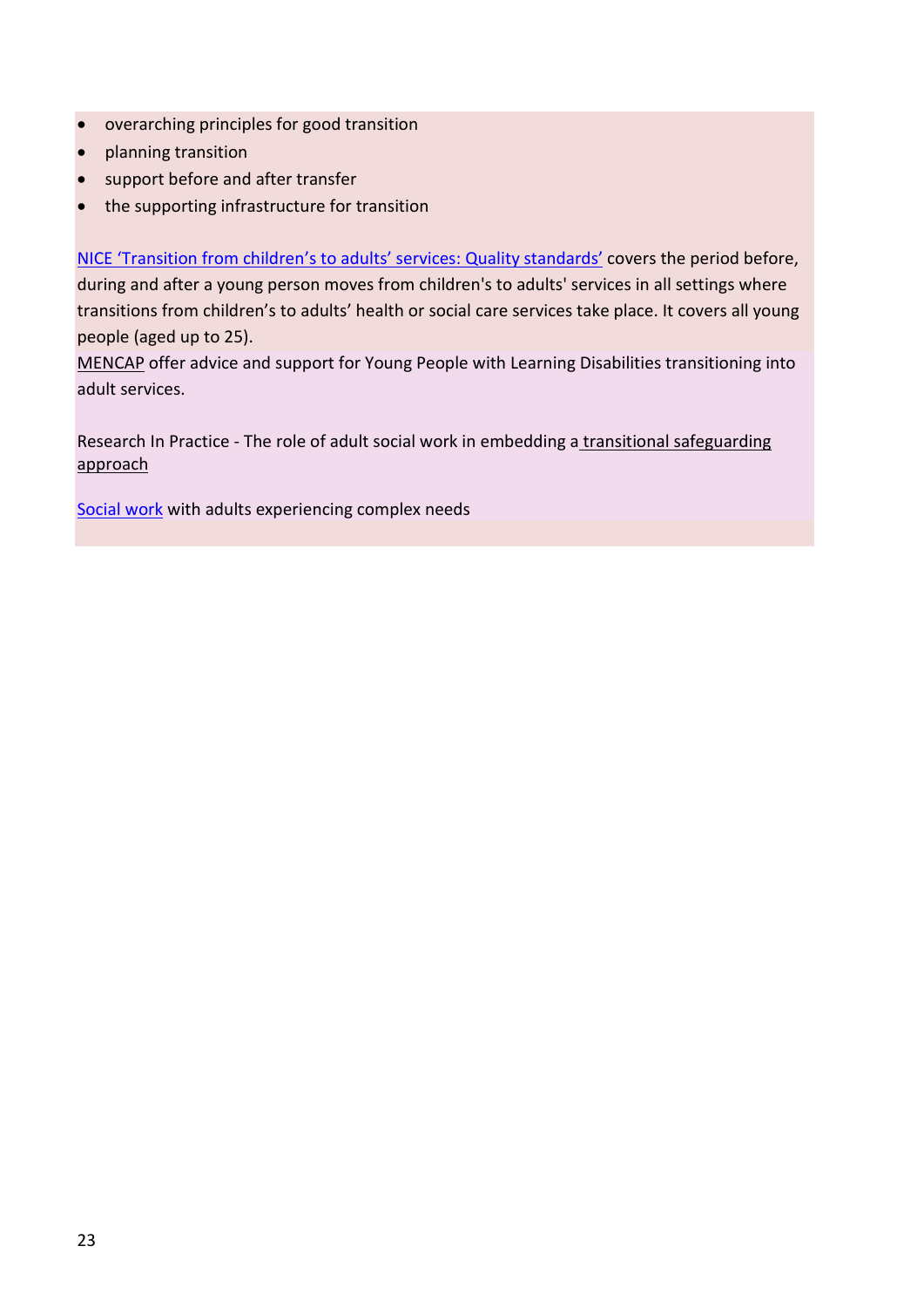- overarching principles for good transition
- planning transition
- support before and after transfer
- the supporting infrastructure for transition

[NICE 'Transition from children's to adults' services: Quality standards'](https://www.nice.org.uk/guidance/qs140) covers the period before, during and after a young person moves from children's to adults' services in all settings where transitions from children's to adults' health or social care services take place. It covers all young people (aged up to 25).

[MENCAP](https://www.mencap.org.uk/advice-and-support/children-and-young-people/transition-adult-services) offer advice and support for Young People with Learning Disabilities transitioning into adult services.

Research In Practice - The role of adult social work in embedding a transitional [safeguarding](https://www.researchinpractice.org.uk/all/news-views/2021/june/the-role-of-adult-social-work-in-embedding-a-transitional-safeguarding-approach/)  [approach](https://www.researchinpractice.org.uk/all/news-views/2021/june/the-role-of-adult-social-work-in-embedding-a-transitional-safeguarding-approach/)

[Social work](https://www.nice.org.uk/guidance/ng216) with adults experiencing complex needs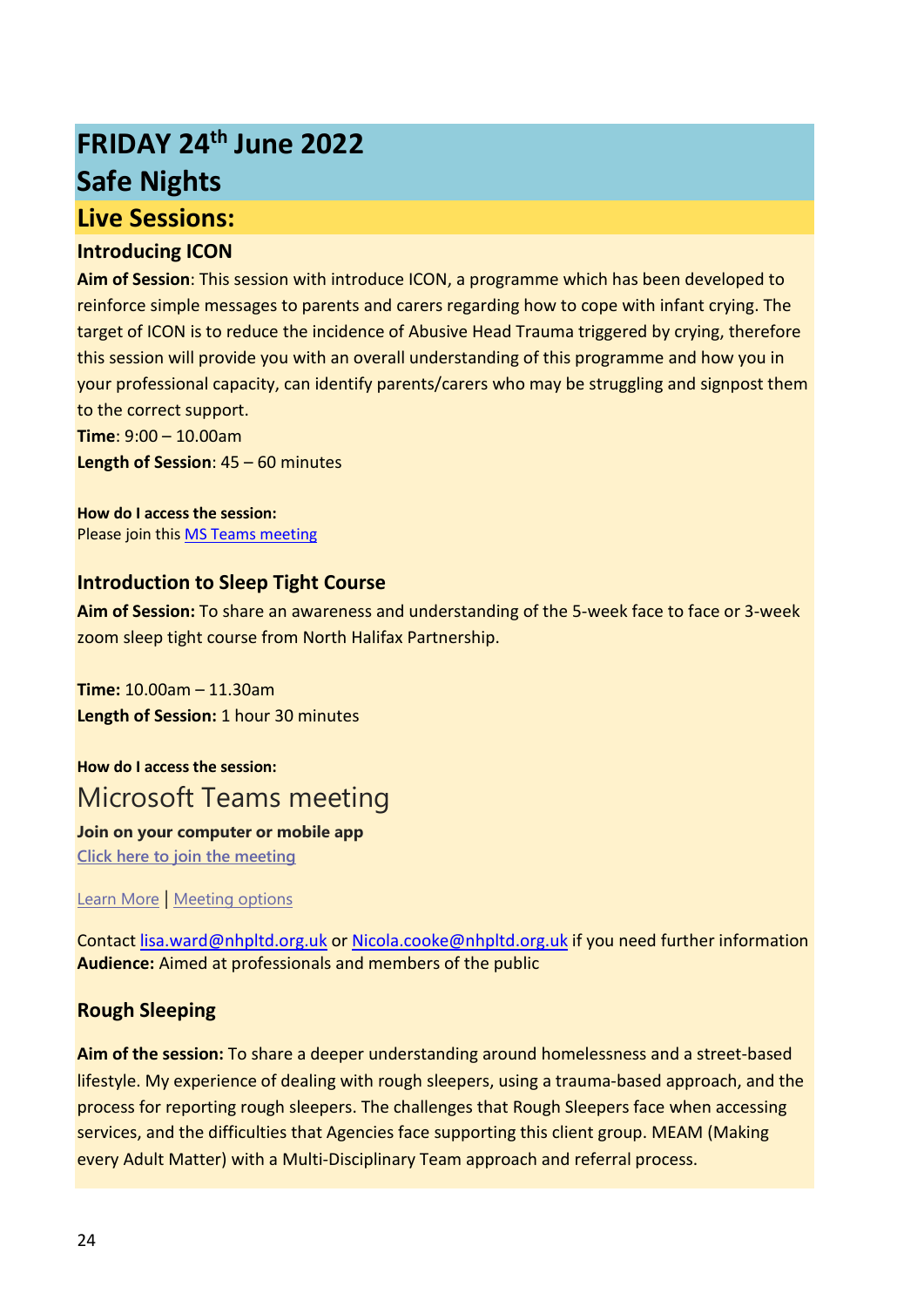# **FRIDAY 24th June 2022 Safe Nights Live Sessions:**

#### **Introducing ICON**

**Aim of Session**: This session with introduce ICON, a programme which has been developed to reinforce simple messages to parents and carers regarding how to cope with infant crying. The target of ICON is to reduce the incidence of Abusive Head Trauma triggered by crying, therefore this session will provide you with an overall understanding of this programme and how you in your professional capacity, can identify parents/carers who may be struggling and signpost them to the correct support.

**Time**: 9:00 – 10.00am

**Length of Session**: 45 – 60 minutes

**How do I access the session:** Please join this [MS](https://teams.microsoft.com/l/meetup-join/19%3ameeting_NDdiNjA2ZjgtMTk3Yy00YjZhLThlNGUtMmE3MGYzNDgxM2I1%40thread.v2/0?context=%7b%22Tid%22%3a%2237c354b2-85b0-47f5-b222-07b48d774ee3%22%2c%22Oid%22%3a%227dab7604-0afe-4b06-ac93-feb5eda42f85%22%7d#_blank) [Teams meeting](https://teams.microsoft.com/l/meetup-join/19%3ameeting_NDdiNjA2ZjgtMTk3Yy00YjZhLThlNGUtMmE3MGYzNDgxM2I1%40thread.v2/0?context=%7b%22Tid%22%3a%2237c354b2-85b0-47f5-b222-07b48d774ee3%22%2c%22Oid%22%3a%227dab7604-0afe-4b06-ac93-feb5eda42f85%22%7d#_blank)

#### **Introduction to Sleep Tight Course**

**Aim of Session:** To share an awareness and understanding of the 5-week face to face or 3-week zoom sleep tight course from North Halifax Partnership.

**Time:** 10.00am – 11.30am **Length of Session:** 1 hour 30 minutes

**How do I access the session:** Microsoft Teams meeting

#### **Join on your computer or mobile app**

**[Click here to join the meeting](https://teams.microsoft.com/l/meetup-join/19%3ameeting_NDAzYmMyYWItNzhhMy00ZjkyLWI2YjQtZjAwZTc2Mjk0ZjM4%40thread.v2/0?context=%7b%22Tid%22%3a%22ac149e0f-821a-4e51-936f-e4ca4eda0d7c%22%2c%22Oid%22%3a%2224ed9c11-e768-4fec-a0a1-f642fd6104c1%22%7d)**

[Learn More](https://aka.ms/JoinTeamsMeeting) | [Meeting options](https://teams.microsoft.com/meetingOptions/?organizerId=24ed9c11-e768-4fec-a0a1-f642fd6104c1&tenantId=ac149e0f-821a-4e51-936f-e4ca4eda0d7c&threadId=19_meeting_NDAzYmMyYWItNzhhMy00ZjkyLWI2YjQtZjAwZTc2Mjk0ZjM4@thread.v2&messageId=0&language=en-US)

Contact [lisa.ward@nhpltd.org.uk](mailto:lisa.ward@nhpltd.org.uk) o[r Nicola.cooke@nhpltd.org.uk](mailto:Nicola.cooke@nhpltd.org.uk) if you need further information **Audience:** Aimed at professionals and members of the public

#### **Rough Sleeping**

**Aim of the session:** To share a deeper understanding around homelessness and a street-based lifestyle. My experience of dealing with rough sleepers, using a trauma-based approach, and the process for reporting rough sleepers. The challenges that Rough Sleepers face when accessing services, and the difficulties that Agencies face supporting this client group. MEAM (Making every Adult Matter) with a Multi-Disciplinary Team approach and referral process.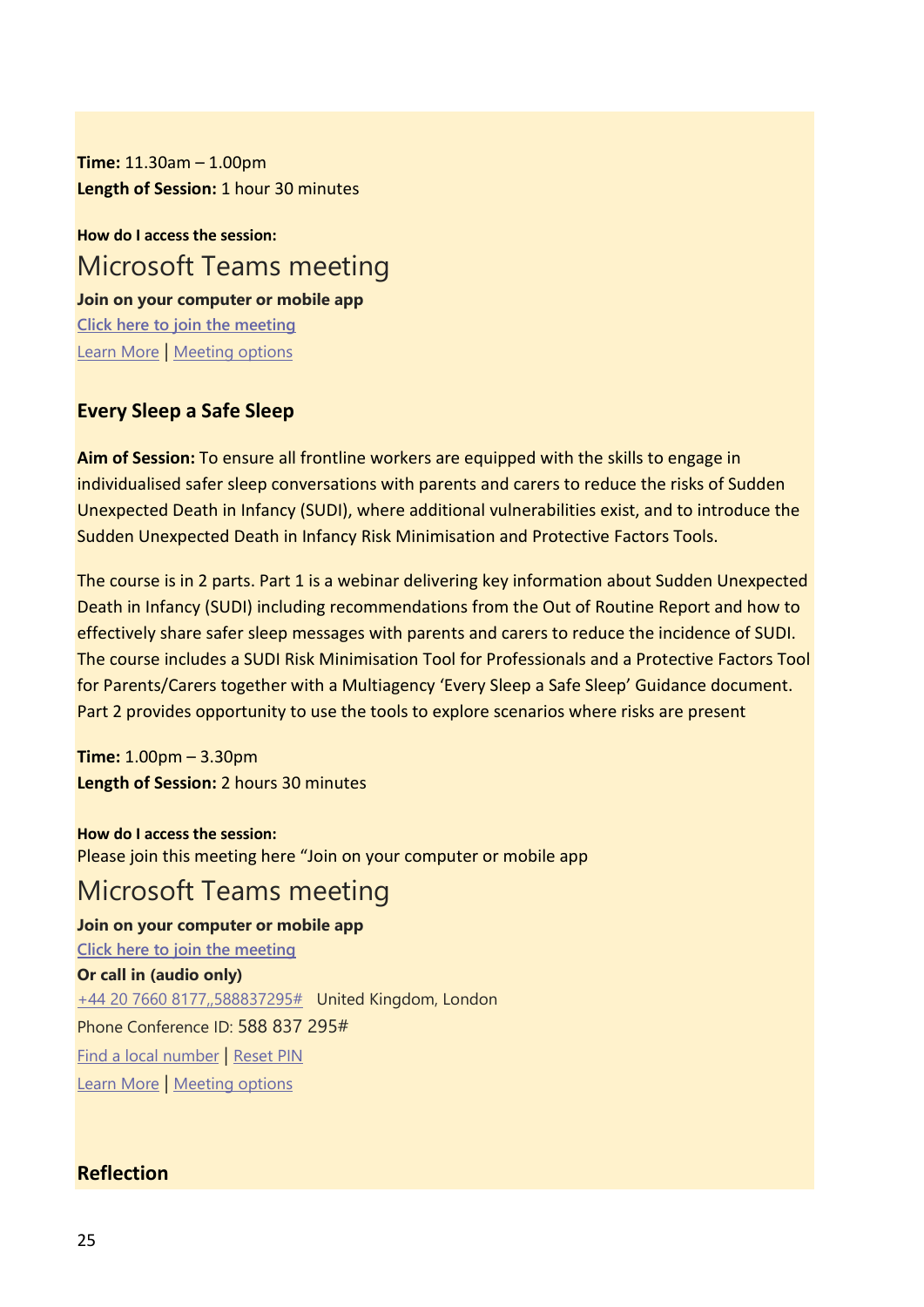**Time:** 11.30am – 1.00pm **Length of Session:** 1 hour 30 minutes

**How do I access the session:** Microsoft Teams meeting **Join on your computer or mobile app [Click here to join the meeting](https://teams.microsoft.com/l/meetup-join/19%3ameeting_MWI2NjZhNWItNjk5NC00MWY4LWFjYmMtODk2YTIwODQxYmU0%40thread.v2/0?context=%7b%22Tid%22%3a%2207162ea2-1b0e-498f-bb55-5b41fd4dce4f%22%2c%22Oid%22%3a%22e887b1ca-f388-4931-847d-01fa1687d8a7%22%7d)**

[Learn More](https://aka.ms/JoinTeamsMeeting) | [Meeting options](https://teams.microsoft.com/meetingOptions/?organizerId=e887b1ca-f388-4931-847d-01fa1687d8a7&tenantId=07162ea2-1b0e-498f-bb55-5b41fd4dce4f&threadId=19_meeting_MWI2NjZhNWItNjk5NC00MWY4LWFjYmMtODk2YTIwODQxYmU0@thread.v2&messageId=0&language=en-US)

#### **Every Sleep a Safe Sleep**

**Aim of Session:** To ensure all frontline workers are equipped with the skills to engage in individualised safer sleep conversations with parents and carers to reduce the risks of Sudden Unexpected Death in Infancy (SUDI), where additional vulnerabilities exist, and to introduce the Sudden Unexpected Death in Infancy Risk Minimisation and Protective Factors Tools.

The course is in 2 parts. Part 1 is a webinar delivering key information about Sudden Unexpected Death in Infancy (SUDI) including recommendations from the Out of Routine Report and how to effectively share safer sleep messages with parents and carers to reduce the incidence of SUDI. The course includes a SUDI Risk Minimisation Tool for Professionals and a Protective Factors Tool for Parents/Carers together with a Multiagency 'Every Sleep a Safe Sleep' Guidance document. Part 2 provides opportunity to use the tools to explore scenarios where risks are present

**Time:** 1.00pm – 3.30pm **Length of Session:** 2 hours 30 minutes

**How do I access the session:** Please join this meeting here "Join on your computer or mobile app

# Microsoft Teams meeting

**Join on your computer or mobile app [Click here to join the meeting](https://teams.microsoft.com/l/meetup-join/19%3ameeting_MWVmYWU2ZDMtNTUxYi00MDQ2LWFjZTItMmQ5ZTVjMjMwZTU1%40thread.v2/0?context=%7b%22Tid%22%3a%22e77a174d-b00d-44b2-bac7-e5388520f5ab%22%2c%22Oid%22%3a%22feb1c59d-ce76-4525-ab6e-d603118a3bfc%22%7d) Or call in (audio only)** [+44 20 7660 8177,,588837295#](tel:+442076608177,,588837295#%20) United Kingdom, London Phone Conference ID: 588 837 295# [Find a local number](https://dialin.teams.microsoft.com/6ceb6cca-2d16-4afb-b62a-6f0c78ba4c60?id=588837295) | [Reset PIN](https://mysettings.lync.com/pstnconferencing) [Learn More](https://aka.ms/JoinTeamsMeeting) | [Meeting options](https://teams.microsoft.com/meetingOptions/?organizerId=feb1c59d-ce76-4525-ab6e-d603118a3bfc&tenantId=e77a174d-b00d-44b2-bac7-e5388520f5ab&threadId=19_meeting_MWVmYWU2ZDMtNTUxYi00MDQ2LWFjZTItMmQ5ZTVjMjMwZTU1@thread.v2&messageId=0&language=en-US)

#### **Reflection**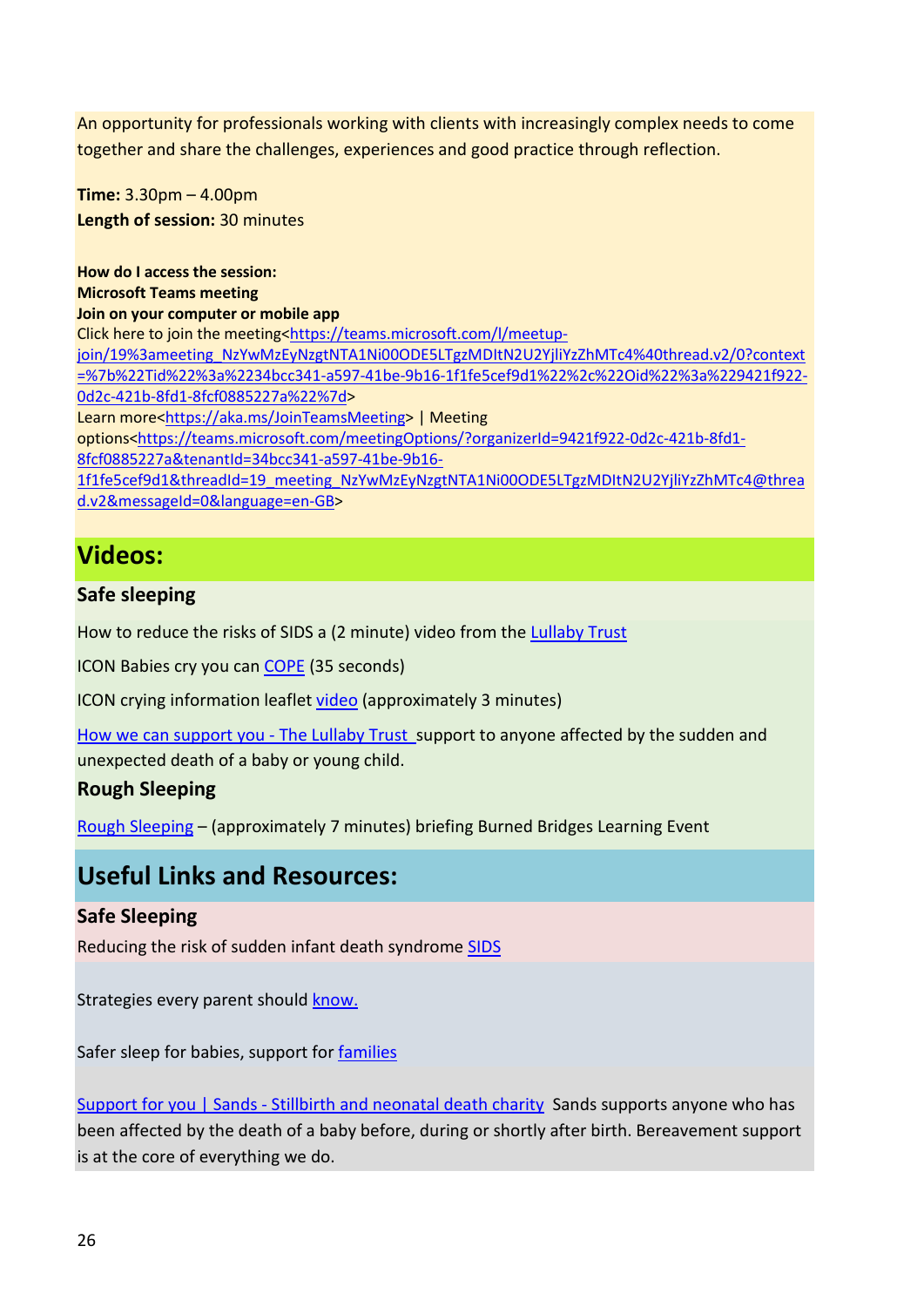An opportunity for professionals working with clients with increasingly complex needs to come together and share the challenges, experiences and good practice through reflection.

**Time:** 3.30pm – 4.00pm **Length of session:** 30 minutes

**How do I access the session: Microsoft Teams meeting Join on your computer or mobile app** Click here to join the meeting[<https://teams.microsoft.com/l/meetup](https://teams.microsoft.com/l/meetup-join/19%3ameeting_NzYwMzEyNzgtNTA1Ni00ODE5LTgzMDItN2U2YjliYzZhMTc4%40thread.v2/0?context=%7b%22Tid%22%3a%2234bcc341-a597-41be-9b16-1f1fe5cef9d1%22%2c%22Oid%22%3a%229421f922-0d2c-421b-8fd1-8fcf0885227a%22%7d)[join/19%3ameeting\\_NzYwMzEyNzgtNTA1Ni00ODE5LTgzMDItN2U2YjliYzZhMTc4%40thread.v2/0?context](https://teams.microsoft.com/l/meetup-join/19%3ameeting_NzYwMzEyNzgtNTA1Ni00ODE5LTgzMDItN2U2YjliYzZhMTc4%40thread.v2/0?context=%7b%22Tid%22%3a%2234bcc341-a597-41be-9b16-1f1fe5cef9d1%22%2c%22Oid%22%3a%229421f922-0d2c-421b-8fd1-8fcf0885227a%22%7d) [=%7b%22Tid%22%3a%2234bcc341-a597-41be-9b16-1f1fe5cef9d1%22%2c%22Oid%22%3a%229421f922-](https://teams.microsoft.com/l/meetup-join/19%3ameeting_NzYwMzEyNzgtNTA1Ni00ODE5LTgzMDItN2U2YjliYzZhMTc4%40thread.v2/0?context=%7b%22Tid%22%3a%2234bcc341-a597-41be-9b16-1f1fe5cef9d1%22%2c%22Oid%22%3a%229421f922-0d2c-421b-8fd1-8fcf0885227a%22%7d) [0d2c-421b-8fd1-8fcf0885227a%22%7d>](https://teams.microsoft.com/l/meetup-join/19%3ameeting_NzYwMzEyNzgtNTA1Ni00ODE5LTgzMDItN2U2YjliYzZhMTc4%40thread.v2/0?context=%7b%22Tid%22%3a%2234bcc341-a597-41be-9b16-1f1fe5cef9d1%22%2c%22Oid%22%3a%229421f922-0d2c-421b-8fd1-8fcf0885227a%22%7d) Learn more[<https://aka.ms/JoinTeamsMeeting>](https://aka.ms/JoinTeamsMeeting) | Meeting options[<https://teams.microsoft.com/meetingOptions/?organizerId=9421f922-0d2c-421b-8fd1-](https://teams.microsoft.com/meetingOptions/?organizerId=9421f922-0d2c-421b-8fd1-8fcf0885227a&tenantId=34bcc341-a597-41be-9b16-1f1fe5cef9d1&threadId=19_meeting_NzYwMzEyNzgtNTA1Ni00ODE5LTgzMDItN2U2YjliYzZhMTc4@thread.v2&messageId=0&language=en-GB) [8fcf0885227a&tenantId=34bcc341-a597-41be-9b16-](https://teams.microsoft.com/meetingOptions/?organizerId=9421f922-0d2c-421b-8fd1-8fcf0885227a&tenantId=34bcc341-a597-41be-9b16-1f1fe5cef9d1&threadId=19_meeting_NzYwMzEyNzgtNTA1Ni00ODE5LTgzMDItN2U2YjliYzZhMTc4@thread.v2&messageId=0&language=en-GB) [1f1fe5cef9d1&threadId=19\\_meeting\\_NzYwMzEyNzgtNTA1Ni00ODE5LTgzMDItN2U2YjliYzZhMTc4@threa](https://teams.microsoft.com/meetingOptions/?organizerId=9421f922-0d2c-421b-8fd1-8fcf0885227a&tenantId=34bcc341-a597-41be-9b16-1f1fe5cef9d1&threadId=19_meeting_NzYwMzEyNzgtNTA1Ni00ODE5LTgzMDItN2U2YjliYzZhMTc4@thread.v2&messageId=0&language=en-GB) [d.v2&messageId=0&language=en-GB>](https://teams.microsoft.com/meetingOptions/?organizerId=9421f922-0d2c-421b-8fd1-8fcf0885227a&tenantId=34bcc341-a597-41be-9b16-1f1fe5cef9d1&threadId=19_meeting_NzYwMzEyNzgtNTA1Ni00ODE5LTgzMDItN2U2YjliYzZhMTc4@thread.v2&messageId=0&language=en-GB)

# **Videos:**

#### **Safe sleeping**

How to reduce the risks of SIDS a (2 minute) video from the [Lullaby Trust](https://www.lullabytrust.org.uk/safer-sleep-advice/)

ICON Babies cry you can [COPE](https://www.youtube.com/watch?v=lxhhxZ2UnnQ) (35 seconds)

ICON crying information leaflet [video](https://www.youtube.com/watch?v=gyQPzIxyTSA) (approximately 3 minutes)

[How we can support you - The Lullaby Trust s](https://www.lullabytrust.org.uk/bereavement-support/how-we-can-support-you/)upport to anyone affected by the sudden and unexpected death of a baby or young child.

#### **Rough Sleeping**

[Rough Sleeping](https://www.youtube.com/watch?v=Nl3RwKz4YTg) – (approximately 7 minutes) briefing Burned Bridges Learning Event

## **Useful Links and Resources:**

#### **Safe Sleeping**

Reducing the risk of sudden infant death syndrome [SIDS](https://www.nhs.uk/conditions/baby/caring-for-a-newborn/reduce-the-risk-of-sudden-infant-death-syndrome/)

Strategies every parent should [know.](https://www.parents.com/baby/health/sids/new-ways-to-reduce-the-risk-of-sids/)

Safer sleep for babies, support for [families](https://www.lullabytrust.org.uk/)

[Support for you | Sands - Stillbirth and neonatal death charity](https://eur02.safelinks.protection.outlook.com/?url=https%3A%2F%2Fwww.sands.org.uk%2Fsupport-you&data=04|01|janet.smethurst%40locala.org.uk|ee28cbc6d1ff4c1461fc08da13e3eb26|e77a174db00d44b2bac7e5388520f5ab|0|0|637844168045097088|Unknown|TWFpbGZsb3d8eyJWIjoiMC4wLjAwMDAiLCJQIjoiV2luMzIiLCJBTiI6Ik1haWwiLCJXVCI6Mn0%3D|3000&sdata=pUcdWQI3u8dmxp%2Ba2Gv0X1gSvM0xHjim10LL7Qp2wgI%3D&reserved=0) Sands supports anyone who has been affected by the death of a baby before, during or shortly after birth. Bereavement support is at the core of everything we do.